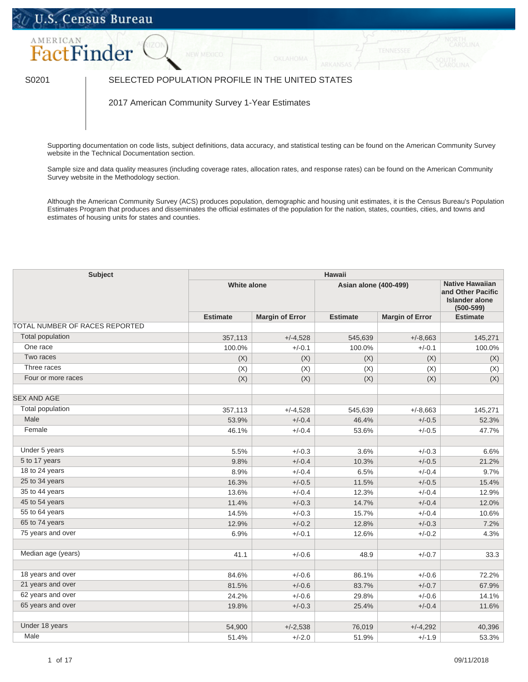## U.S. Census Bureau



## S0201 SELECTED POPULATION PROFILE IN THE UNITED STATES

2017 American Community Survey 1-Year Estimates

Supporting documentation on code lists, subject definitions, data accuracy, and statistical testing can be found on the American Community Survey website in the [Technical Documentation](https://www.census.gov/programs-surveys/acs/technical-documentation/code-lists.html) section.

Sample size and data quality measures (including coverage rates, allocation rates, and response rates) can be found on the American Community Survey website in the [Methodology](https://www.census.gov/acs/www/methodology/sample_size_and_data_quality/) section.

Although the American Community Survey (ACS) produces population, demographic and housing unit estimates, it is the Census Bureau's Population Estimates Program that produces and disseminates the official estimates of the population for the nation, states, counties, cities, and towns and estimates of housing units for states and counties.

| <b>Subject</b>                 | <b>Hawaii</b>      |                        |                       |                                                                                |                 |  |
|--------------------------------|--------------------|------------------------|-----------------------|--------------------------------------------------------------------------------|-----------------|--|
|                                | <b>White alone</b> |                        | Asian alone (400-499) | <b>Native Hawaiian</b><br>and Other Pacific<br>Islander alone<br>$(500 - 599)$ |                 |  |
|                                | <b>Estimate</b>    | <b>Margin of Error</b> | <b>Estimate</b>       | <b>Margin of Error</b>                                                         | <b>Estimate</b> |  |
| TOTAL NUMBER OF RACES REPORTED |                    |                        |                       |                                                                                |                 |  |
| <b>Total population</b>        | 357,113            | $+/-4,528$             | 545,639               | $+/-8,663$                                                                     | 145,271         |  |
| One race                       | 100.0%             | $+/-0.1$               | 100.0%                | $+/-0.1$                                                                       | 100.0%          |  |
| Two races                      | (X)                | (X)                    | (X)                   | (X)                                                                            | (X)             |  |
| Three races                    | (X)                | (X)                    | (X)                   | (X)                                                                            | (X)             |  |
| Four or more races             | (X)                | (X)                    | (X)                   | (X)                                                                            | (X)             |  |
| <b>SEX AND AGE</b>             |                    |                        |                       |                                                                                |                 |  |
| <b>Total population</b>        | 357,113            | $+/-4,528$             | 545,639               | $+/-8,663$                                                                     | 145,271         |  |
| Male                           | 53.9%              | $+/-0.4$               | 46.4%                 | $+/-0.5$                                                                       | 52.3%           |  |
| Female                         | 46.1%              | $+/-0.4$               | 53.6%                 | $+/-0.5$                                                                       | 47.7%           |  |
| Under 5 years                  | 5.5%               | $+/-0.3$               | 3.6%                  | $+/-0.3$                                                                       | 6.6%            |  |
| 5 to 17 years                  | 9.8%               | $+/-0.4$               | 10.3%                 | $+/-0.5$                                                                       | 21.2%           |  |
| 18 to 24 years                 | 8.9%               | $+/-0.4$               | 6.5%                  | $+/-0.4$                                                                       | 9.7%            |  |
| 25 to 34 years                 | 16.3%              | $+/-0.5$               | 11.5%                 | $+/-0.5$                                                                       | 15.4%           |  |
| 35 to 44 years                 | 13.6%              | $+/-0.4$               | 12.3%                 | $+/-0.4$                                                                       | 12.9%           |  |
| 45 to 54 years                 | 11.4%              | $+/-0.3$               | 14.7%                 | $+/-0.4$                                                                       | 12.0%           |  |
| 55 to 64 years                 | 14.5%              | $+/-0.3$               | 15.7%                 | $+/-0.4$                                                                       | 10.6%           |  |
| 65 to 74 years                 | 12.9%              | $+/-0.2$               | 12.8%                 | $+/-0.3$                                                                       | 7.2%            |  |
| 75 years and over              | 6.9%               | $+/-0.1$               | 12.6%                 | $+/-0.2$                                                                       | 4.3%            |  |
| Median age (years)             | 41.1               | $+/-0.6$               | 48.9                  | $+/-0.7$                                                                       | 33.3            |  |
| 18 years and over              | 84.6%              | $+/-0.6$               | 86.1%                 | $+/-0.6$                                                                       | 72.2%           |  |
| 21 years and over              | 81.5%              | $+/-0.6$               | 83.7%                 | $+/-0.7$                                                                       | 67.9%           |  |
| 62 years and over              | 24.2%              | $+/-0.6$               | 29.8%                 | $+/-0.6$                                                                       | 14.1%           |  |
| 65 years and over              | 19.8%              | $+/-0.3$               | 25.4%                 | $+/-0.4$                                                                       | 11.6%           |  |
| Under 18 years                 | 54,900             | $+/-2,538$             | 76,019                | $+/-4,292$                                                                     | 40,396          |  |
| Male                           | 51.4%              | $+/-2.0$               | 51.9%                 | $+/-1.9$                                                                       | 53.3%           |  |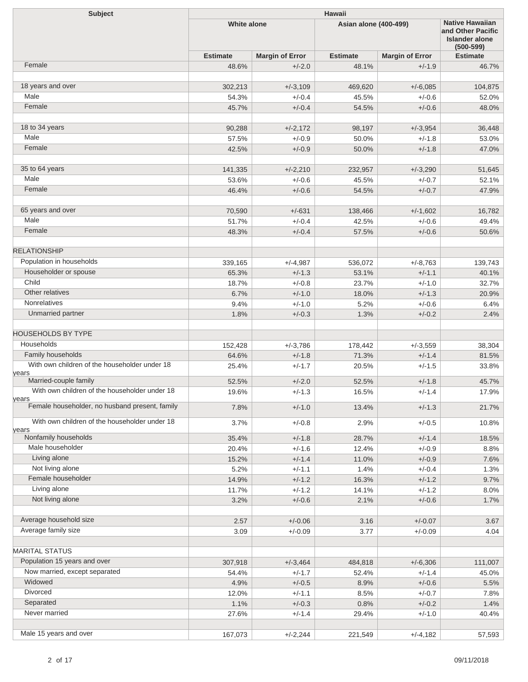| <b>Subject</b>                                         | <b>Hawaii</b>      |                        |                              |                        |                                                                                       |  |
|--------------------------------------------------------|--------------------|------------------------|------------------------------|------------------------|---------------------------------------------------------------------------------------|--|
|                                                        | <b>White alone</b> |                        | <b>Asian alone (400-499)</b> |                        | <b>Native Hawaiian</b><br>and Other Pacific<br><b>Islander alone</b><br>$(500 - 599)$ |  |
|                                                        | <b>Estimate</b>    | <b>Margin of Error</b> | <b>Estimate</b>              | <b>Margin of Error</b> | <b>Estimate</b>                                                                       |  |
| Female                                                 | 48.6%              | $+/-2.0$               | 48.1%                        | $+/-1.9$               | 46.7%                                                                                 |  |
|                                                        |                    |                        |                              |                        |                                                                                       |  |
| 18 years and over                                      | 302,213            | $+/-3,109$             | 469,620                      | $+/-6,085$             | 104,875                                                                               |  |
| Male                                                   | 54.3%              | $+/-0.4$               | 45.5%                        | $+/-0.6$               | 52.0%                                                                                 |  |
| Female                                                 | 45.7%              | $+/-0.4$               | 54.5%                        | $+/-0.6$               | 48.0%                                                                                 |  |
| 18 to 34 years                                         | 90,288             | $+/-2,172$             | 98,197                       | $+/-3,954$             | 36,448                                                                                |  |
| Male                                                   | 57.5%              | $+/-0.9$               | 50.0%                        | $+/-1.8$               | 53.0%                                                                                 |  |
| Female                                                 | 42.5%              | $+/-0.9$               | 50.0%                        | $+/-1.8$               | 47.0%                                                                                 |  |
|                                                        |                    |                        |                              |                        |                                                                                       |  |
| 35 to 64 years                                         | 141,335            | $+/-2,210$             | 232,957                      | $+/-3,290$             | 51,645                                                                                |  |
| Male                                                   | 53.6%              | $+/-0.6$               | 45.5%                        | $+/-0.7$               | 52.1%                                                                                 |  |
| Female                                                 | 46.4%              | $+/-0.6$               | 54.5%                        | $+/-0.7$               | 47.9%                                                                                 |  |
|                                                        |                    |                        |                              |                        |                                                                                       |  |
| 65 years and over<br>Male                              | 70,590             | $+/-631$               | 138,466                      | $+/-1,602$             | 16,782                                                                                |  |
| Female                                                 | 51.7%              | $+/-0.4$               | 42.5%                        | $+/-0.6$               | 49.4%                                                                                 |  |
|                                                        | 48.3%              | $+/-0.4$               | 57.5%                        | $+/-0.6$               | 50.6%                                                                                 |  |
| <b>RELATIONSHIP</b>                                    |                    |                        |                              |                        |                                                                                       |  |
| Population in households                               | 339,165            | $+/-4,987$             | 536,072                      | $+/-8,763$             | 139,743                                                                               |  |
| Householder or spouse                                  | 65.3%              | $+/-1.3$               | 53.1%                        | $+/-1.1$               | 40.1%                                                                                 |  |
| Child                                                  | 18.7%              | $+/-0.8$               | 23.7%                        | $+/-1.0$               | 32.7%                                                                                 |  |
| Other relatives                                        | 6.7%               | $+/-1.0$               | 18.0%                        | $+/-1.3$               | 20.9%                                                                                 |  |
| <b>Nonrelatives</b>                                    | 9.4%               | $+/-1.0$               | 5.2%                         | $+/-0.6$               | 6.4%                                                                                  |  |
| Unmarried partner                                      | 1.8%               | $+/-0.3$               | 1.3%                         | $+/-0.2$               | 2.4%                                                                                  |  |
| <b>HOUSEHOLDS BY TYPE</b>                              |                    |                        |                              |                        |                                                                                       |  |
| Households                                             | 152,428            | $+/-3.786$             | 178,442                      | $+/-3,559$             | 38,304                                                                                |  |
| Family households                                      | 64.6%              | $+/-1.8$               | 71.3%                        | $+/-1.4$               | 81.5%                                                                                 |  |
| With own children of the householder under 18          | 25.4%              | $+/-1.7$               | 20.5%                        | $+/-1.5$               | 33.8%                                                                                 |  |
| years                                                  |                    |                        |                              |                        |                                                                                       |  |
| Married-couple family                                  | 52.5%              | $+/-2.0$               | 52.5%                        | $+/-1.8$               | 45.7%                                                                                 |  |
| With own children of the householder under 18<br>years | 19.6%              | $+/-1.3$               | 16.5%                        | $+/-1.4$               | 17.9%                                                                                 |  |
| Female householder, no husband present, family         | 7.8%               | $+/-1.0$               | 13.4%                        | $+/-1.3$               | 21.7%                                                                                 |  |
| With own children of the householder under 18          | 3.7%               | $+/-0.8$               | 2.9%                         | $+/-0.5$               | 10.8%                                                                                 |  |
| years<br>Nonfamily households                          |                    |                        |                              |                        |                                                                                       |  |
| Male householder                                       | 35.4%              | $+/-1.8$               | 28.7%                        | $+/-1.4$               | 18.5%                                                                                 |  |
| Living alone                                           | 20.4%              | $+/-1.6$<br>$+/-1.4$   | 12.4%                        | $+/-0.9$               | 8.8%                                                                                  |  |
| Not living alone                                       | 15.2%<br>5.2%      | $+/-1.1$               | 11.0%<br>1.4%                | $+/-0.9$<br>$+/-0.4$   | 7.6%<br>1.3%                                                                          |  |
| Female householder                                     | 14.9%              | $+/-1.2$               | 16.3%                        | $+/-1.2$               | 9.7%                                                                                  |  |
| Living alone                                           | 11.7%              | $+/-1.2$               | 14.1%                        | $+/-1.2$               | 8.0%                                                                                  |  |
| Not living alone                                       | 3.2%               | $+/-0.6$               | 2.1%                         | $+/-0.6$               | 1.7%                                                                                  |  |
|                                                        |                    |                        |                              |                        |                                                                                       |  |
| Average household size                                 | 2.57               | $+/-0.06$              | 3.16                         | $+/-0.07$              | 3.67                                                                                  |  |
| Average family size                                    | 3.09               | $+/-0.09$              | 3.77                         | $+/-0.09$              | 4.04                                                                                  |  |
| <b>MARITAL STATUS</b>                                  |                    |                        |                              |                        |                                                                                       |  |
| Population 15 years and over                           | 307,918            | $+/-3,464$             | 484,818                      | $+/-6,306$             | 111,007                                                                               |  |
| Now married, except separated                          | 54.4%              | $+/-1.7$               | 52.4%                        | $+/-1.4$               | 45.0%                                                                                 |  |
| Widowed                                                | 4.9%               | $+/-0.5$               | 8.9%                         | $+/-0.6$               | 5.5%                                                                                  |  |
| Divorced                                               | 12.0%              | $+/-1.1$               | 8.5%                         | $+/-0.7$               | 7.8%                                                                                  |  |
| Separated                                              | 1.1%               | $+/-0.3$               | 0.8%                         | $+/-0.2$               | 1.4%                                                                                  |  |
| Never married                                          | 27.6%              | $+/-1.4$               | 29.4%                        | $+/-1.0$               | 40.4%                                                                                 |  |
|                                                        |                    |                        |                              |                        |                                                                                       |  |
| Male 15 years and over                                 | 167,073            | $+/-2,244$             | 221,549                      | $+/-4,182$             | 57,593                                                                                |  |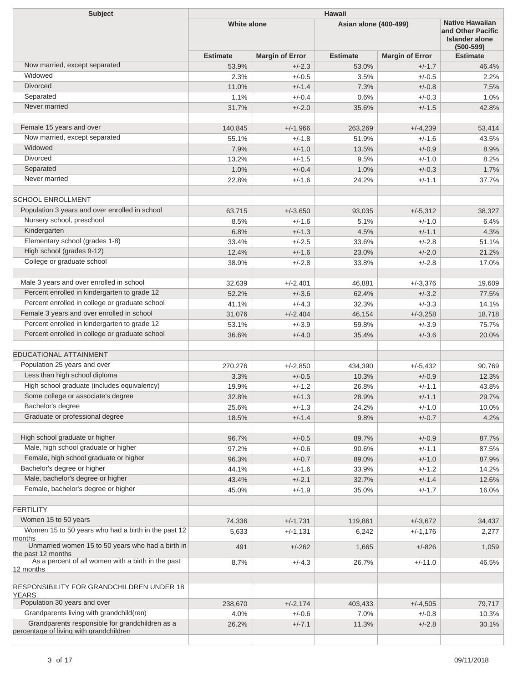| Subject                                                         | Hawaii             |                        |                       |                        |                                                                                |  |
|-----------------------------------------------------------------|--------------------|------------------------|-----------------------|------------------------|--------------------------------------------------------------------------------|--|
|                                                                 | <b>White alone</b> |                        | Asian alone (400-499) |                        | <b>Native Hawaiian</b><br>and Other Pacific<br>Islander alone<br>$(500 - 599)$ |  |
|                                                                 | <b>Estimate</b>    | <b>Margin of Error</b> | <b>Estimate</b>       | <b>Margin of Error</b> | <b>Estimate</b>                                                                |  |
| Now married, except separated                                   | 53.9%              | $+/-2.3$               | 53.0%                 | $+/-1.7$               | 46.4%                                                                          |  |
| Widowed                                                         | 2.3%               | $+/-0.5$               | 3.5%                  | $+/-0.5$               | 2.2%                                                                           |  |
| <b>Divorced</b>                                                 | 11.0%              | $+/-1.4$               | 7.3%                  | $+/-0.8$               | 7.5%                                                                           |  |
| Separated                                                       | 1.1%               | $+/-0.4$               | 0.6%                  | $+/-0.3$               | 1.0%                                                                           |  |
| Never married                                                   | 31.7%              | $+/-2.0$               | 35.6%                 | $+/-1.5$               | 42.8%                                                                          |  |
| Female 15 years and over                                        | 140,845            | $+/-1,966$             | 263,269               | $+/-4,239$             | 53,414                                                                         |  |
| Now married, except separated                                   | 55.1%              | $+/-1.8$               | 51.9%                 | $+/-1.6$               | 43.5%                                                                          |  |
| Widowed                                                         | 7.9%               | $+/-1.0$               | 13.5%                 | $+/-0.9$               | 8.9%                                                                           |  |
| Divorced                                                        | 13.2%              | $+/-1.5$               | 9.5%                  | $+/-1.0$               | 8.2%                                                                           |  |
| Separated                                                       | 1.0%               | $+/-0.4$               | 1.0%                  | $+/-0.3$               | 1.7%                                                                           |  |
| Never married                                                   | 22.8%              | $+/-1.6$               | 24.2%                 | $+/-1.1$               | 37.7%                                                                          |  |
| <b>SCHOOL ENROLLMENT</b>                                        |                    |                        |                       |                        |                                                                                |  |
| Population 3 years and over enrolled in school                  |                    |                        |                       |                        |                                                                                |  |
| Nursery school, preschool                                       | 63,715             | $+/-3,650$             | 93,035                | $+/-5,312$             | 38,327                                                                         |  |
|                                                                 | 8.5%               | $+/-1.6$               | 5.1%                  | $+/-1.0$               | 6.4%                                                                           |  |
| Kindergarten                                                    | 6.8%               | $+/-1.3$               | 4.5%                  | $+/-1.1$               | 4.3%                                                                           |  |
| Elementary school (grades 1-8)<br>High school (grades 9-12)     | 33.4%              | $+/-2.5$               | 33.6%                 | $+/-2.8$               | 51.1%                                                                          |  |
|                                                                 | 12.4%              | $+/-1.6$               | 23.0%                 | $+/-2.0$               | 21.2%                                                                          |  |
| College or graduate school                                      | 38.9%              | $+/-2.8$               | 33.8%                 | $+/-2.8$               | 17.0%                                                                          |  |
| Male 3 years and over enrolled in school                        | 32,639             | $+/-2,401$             | 46,881                | $+/-3,376$             | 19,609                                                                         |  |
| Percent enrolled in kindergarten to grade 12                    | 52.2%              | $+/-3.6$               | 62.4%                 | $+/-3.2$               | 77.5%                                                                          |  |
| Percent enrolled in college or graduate school                  | 41.1%              | $+/-4.3$               | 32.3%                 | $+/-3.3$               | 14.1%                                                                          |  |
| Female 3 years and over enrolled in school                      | 31,076             | $+/-2,404$             | 46,154                | $+/-3,258$             | 18,718                                                                         |  |
| Percent enrolled in kindergarten to grade 12                    | 53.1%              | $+/-3.9$               | 59.8%                 | $+/-3.9$               | 75.7%                                                                          |  |
| Percent enrolled in college or graduate school                  | 36.6%              | $+/-4.0$               | 35.4%                 | $+/-3.6$               | 20.0%                                                                          |  |
| <b>EDUCATIONAL ATTAINMENT</b>                                   |                    |                        |                       |                        |                                                                                |  |
| Population 25 years and over                                    |                    |                        |                       |                        |                                                                                |  |
| Less than high school diploma                                   | 270,276            | $+/-2,850$             | 434,390               | $+/-5,432$             | 90,769                                                                         |  |
| High school graduate (includes equivalency)                     | 3.3%               | $+/-0.5$               | 10.3%                 | $+/-0.9$               | 12.3%                                                                          |  |
| Some college or associate's degree                              | 19.9%              | $+/-1.2$<br>$+/-1.3$   | 26.8%                 | $+/-1.1$               | 43.8%                                                                          |  |
|                                                                 | 32.8%              |                        | 28.9%                 | $+/-1.1$               | 29.7%                                                                          |  |
| Bachelor's degree<br>Graduate or professional degree            | 25.6%<br>18.5%     | $+/-1.3$<br>$+/-1.4$   | 24.2%<br>9.8%         | $+/-1.0$<br>$+/-0.7$   | 10.0%<br>4.2%                                                                  |  |
|                                                                 |                    |                        |                       |                        |                                                                                |  |
| High school graduate or higher                                  | 96.7%              | $+/-0.5$               | 89.7%                 | $+/-0.9$               | 87.7%                                                                          |  |
| Male, high school graduate or higher                            | 97.2%              | $+/-0.6$               | 90.6%                 | $+/-1.1$               | 87.5%                                                                          |  |
| Female, high school graduate or higher                          | 96.3%              | $+/-0.7$               | 89.0%                 | $+/-1.0$               | 87.9%                                                                          |  |
| Bachelor's degree or higher                                     | 44.1%              | $+/-1.6$               | 33.9%                 | $+/-1.2$               | 14.2%                                                                          |  |
| Male, bachelor's degree or higher                               | 43.4%              | $+/-2.1$               | 32.7%                 | $+/-1.4$               | 12.6%                                                                          |  |
| Female, bachelor's degree or higher                             | 45.0%              | $+/-1.9$               | 35.0%                 | $+/-1.7$               | 16.0%                                                                          |  |
| <b>FERTILITY</b>                                                |                    |                        |                       |                        |                                                                                |  |
| Women 15 to 50 years                                            | 74,336             | $+/-1,731$             | 119,861               | $+/-3,672$             | 34,437                                                                         |  |
| Women 15 to 50 years who had a birth in the past 12             | 5,633              | $+/-1,131$             | 6,242                 | $+/-1,176$             | 2,277                                                                          |  |
| months<br>Unmarried women 15 to 50 years who had a birth in     | 491                | $+/-262$               | 1,665                 | $+/-826$               | 1,059                                                                          |  |
| the past 12 months                                              |                    |                        |                       |                        |                                                                                |  |
| As a percent of all women with a birth in the past<br>12 months | 8.7%               | $+/-4.3$               | 26.7%                 | $+/-11.0$              | 46.5%                                                                          |  |
| RESPONSIBILITY FOR GRANDCHILDREN UNDER 18<br><b>YEARS</b>       |                    |                        |                       |                        |                                                                                |  |
| Population 30 years and over                                    | 238,670            | $+/-2,174$             | 403,433               | $+/-4,505$             | 79,717                                                                         |  |
| Grandparents living with grandchild(ren)                        | 4.0%               | $+/-0.6$               | 7.0%                  | $+/-0.8$               | 10.3%                                                                          |  |
| Grandparents responsible for grandchildren as a                 | 26.2%              | $+/-7.1$               | 11.3%                 | $+/-2.8$               | 30.1%                                                                          |  |
| percentage of living with grandchildren                         |                    |                        |                       |                        |                                                                                |  |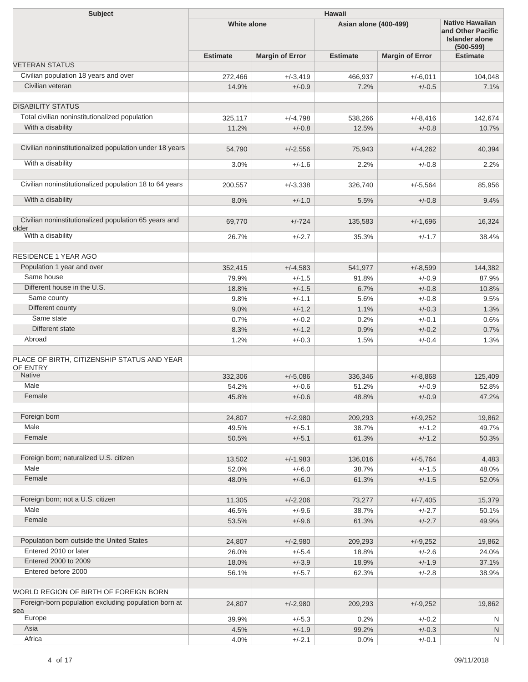| <b>Subject</b>                                                 | <b>Hawaii</b>      |                        |                              |                        |                                                                                       |  |
|----------------------------------------------------------------|--------------------|------------------------|------------------------------|------------------------|---------------------------------------------------------------------------------------|--|
|                                                                | <b>White alone</b> |                        | <b>Asian alone (400-499)</b> |                        | <b>Native Hawaiian</b><br>and Other Pacific<br><b>Islander alone</b><br>$(500 - 599)$ |  |
|                                                                | <b>Estimate</b>    | <b>Margin of Error</b> | <b>Estimate</b>              | <b>Margin of Error</b> | <b>Estimate</b>                                                                       |  |
| <b>VETERAN STATUS</b>                                          |                    |                        |                              |                        |                                                                                       |  |
| Civilian population 18 years and over                          | 272,466            | $+/-3,419$             | 466,937                      | $+/-6,011$             | 104,048                                                                               |  |
| Civilian veteran                                               | 14.9%              | $+/-0.9$               | 7.2%                         | $+/-0.5$               | 7.1%                                                                                  |  |
| <b>DISABILITY STATUS</b>                                       |                    |                        |                              |                        |                                                                                       |  |
| Total civilian noninstitutionalized population                 | 325,117            | $+/-4,798$             | 538,266                      | $+/-8,416$             | 142,674                                                                               |  |
| With a disability                                              | 11.2%              | $+/-0.8$               | 12.5%                        | $+/-0.8$               | 10.7%                                                                                 |  |
| Civilian noninstitutionalized population under 18 years        | 54,790             | $+/-2,556$             | 75,943                       | $+/-4,262$             | 40,394                                                                                |  |
| With a disability                                              | 3.0%               | $+/-1.6$               | 2.2%                         | $+/-0.8$               | 2.2%                                                                                  |  |
| Civilian noninstitutionalized population 18 to 64 years        | 200,557            | $+/-3,338$             | 326,740                      | $+/-5,564$             | 85,956                                                                                |  |
| With a disability                                              |                    |                        |                              |                        |                                                                                       |  |
|                                                                | 8.0%               | $+/-1.0$               | 5.5%                         | $+/-0.8$               | 9.4%                                                                                  |  |
| Civilian noninstitutionalized population 65 years and<br>older | 69,770             | $+/-724$               | 135,583                      | $+/-1,696$             | 16,324                                                                                |  |
| With a disability                                              | 26.7%              | $+/-2.7$               | 35.3%                        | $+/-1.7$               | 38.4%                                                                                 |  |
| <b>RESIDENCE 1 YEAR AGO</b>                                    |                    |                        |                              |                        |                                                                                       |  |
| Population 1 year and over                                     | 352,415            | $+/-4,583$             | 541,977                      | $+/-8,599$             | 144,382                                                                               |  |
| Same house                                                     | 79.9%              | $+/-1.5$               | 91.8%                        | $+/-0.9$               | 87.9%                                                                                 |  |
| Different house in the U.S.                                    | 18.8%              | $+/-1.5$               | 6.7%                         | $+/-0.8$               | 10.8%                                                                                 |  |
| Same county                                                    | 9.8%               | $+/-1.1$               | 5.6%                         | $+/-0.8$               | 9.5%                                                                                  |  |
| Different county                                               | 9.0%               | $+/-1.2$               | 1.1%                         | $+/-0.3$               | 1.3%                                                                                  |  |
| Same state                                                     | 0.7%               | $+/-0.2$               | 0.2%                         | $+/-0.1$               | 0.6%                                                                                  |  |
| Different state                                                | 8.3%               | $+/-1.2$               | 0.9%                         | $+/-0.2$               | 0.7%                                                                                  |  |
| Abroad                                                         | 1.2%               | $+/-0.3$               | 1.5%                         | $+/-0.4$               | 1.3%                                                                                  |  |
|                                                                |                    |                        |                              |                        |                                                                                       |  |
| PLACE OF BIRTH, CITIZENSHIP STATUS AND YEAR<br>OF ENTRY        |                    |                        |                              |                        |                                                                                       |  |
| Native                                                         | 332,306            | $+/-5,086$             | 336,346                      | $+/-8.868$             | 125,409                                                                               |  |
| Male                                                           | 54.2%              | $+/-0.6$               | 51.2%                        | $+/-0.9$               | 52.8%                                                                                 |  |
| Female                                                         | 45.8%              | $+/-0.6$               | 48.8%                        | $+/-0.9$               | 47.2%                                                                                 |  |
| Foreign born                                                   | 24,807             | $+/-2,980$             | 209,293                      | $+/-9,252$             | 19,862                                                                                |  |
| Male                                                           | 49.5%              | $+/-5.1$               | 38.7%                        | $+/-1.2$               | 49.7%                                                                                 |  |
| Female                                                         | 50.5%              | $+/-5.1$               | 61.3%                        | $+/-1.2$               | 50.3%                                                                                 |  |
|                                                                |                    |                        |                              |                        |                                                                                       |  |
| Foreign born; naturalized U.S. citizen                         | 13,502             | $+/-1,983$             | 136,016                      | $+/-5,764$             | 4,483                                                                                 |  |
| Male                                                           | 52.0%              | $+/-6.0$               | 38.7%                        | $+/-1.5$               | 48.0%                                                                                 |  |
| Female                                                         | 48.0%              | $+/-6.0$               | 61.3%                        | $+/-1.5$               | 52.0%                                                                                 |  |
| Foreign born; not a U.S. citizen                               | 11,305             | $+/-2,206$             | 73,277                       | $+/-7,405$             | 15,379                                                                                |  |
| Male                                                           | 46.5%              | $+/-9.6$               | 38.7%                        | $+/-2.7$               | 50.1%                                                                                 |  |
| Female                                                         | 53.5%              | $+/-9.6$               | 61.3%                        | $+/-2.7$               | 49.9%                                                                                 |  |
| Population born outside the United States                      | 24,807             | $+/-2,980$             | 209,293                      | $+/-9,252$             | 19,862                                                                                |  |
| Entered 2010 or later                                          | 26.0%              | $+/-5.4$               | 18.8%                        | $+/-2.6$               | 24.0%                                                                                 |  |
| Entered 2000 to 2009                                           | 18.0%              | $+/-3.9$               | 18.9%                        | $+/-1.9$               | 37.1%                                                                                 |  |
| Entered before 2000                                            | 56.1%              | $+/-5.7$               | 62.3%                        | $+/-2.8$               | 38.9%                                                                                 |  |
| WORLD REGION OF BIRTH OF FOREIGN BORN                          |                    |                        |                              |                        |                                                                                       |  |
| Foreign-born population excluding population born at           | 24,807             | $+/-2,980$             | 209,293                      | $+/-9,252$             | 19,862                                                                                |  |
| sea<br>Europe                                                  | 39.9%              | $+/-5.3$               | 0.2%                         | $+/-0.2$               | N                                                                                     |  |
| Asia                                                           | 4.5%               | $+/-1.9$               | 99.2%                        | $+/-0.3$               | N.                                                                                    |  |
| Africa                                                         | 4.0%               | $+/-2.1$               | 0.0%                         | $+/-0.1$               | N                                                                                     |  |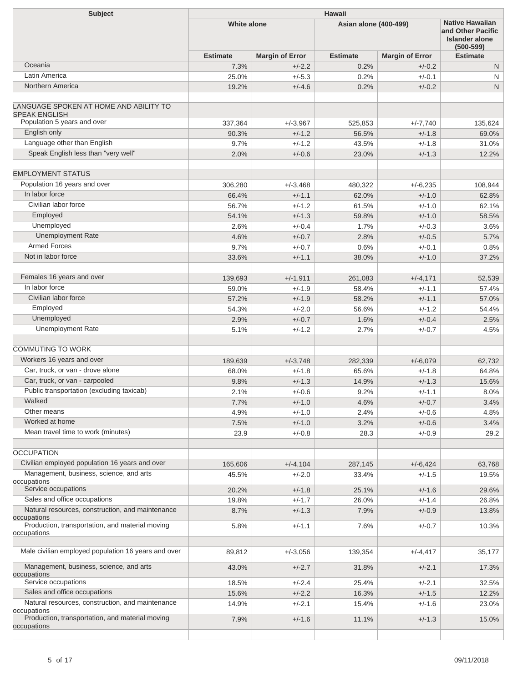| <b>Subject</b>                                                  | <b>Hawaii</b>      |                        |                              |                        |                                                                                       |  |  |
|-----------------------------------------------------------------|--------------------|------------------------|------------------------------|------------------------|---------------------------------------------------------------------------------------|--|--|
|                                                                 | <b>White alone</b> |                        | <b>Asian alone (400-499)</b> |                        | <b>Native Hawaiian</b><br>and Other Pacific<br><b>Islander alone</b><br>$(500 - 599)$ |  |  |
|                                                                 | <b>Estimate</b>    | <b>Margin of Error</b> | <b>Estimate</b>              | <b>Margin of Error</b> | <b>Estimate</b>                                                                       |  |  |
| Oceania                                                         | 7.3%               | $+/-2.2$               | 0.2%                         | $+/-0.2$               | N                                                                                     |  |  |
| Latin America                                                   | 25.0%              | $+/-5.3$               | 0.2%                         | $+/-0.1$               | N                                                                                     |  |  |
| Northern America                                                | 19.2%              | $+/-4.6$               | 0.2%                         | $+/-0.2$               | N                                                                                     |  |  |
|                                                                 |                    |                        |                              |                        |                                                                                       |  |  |
| LANGUAGE SPOKEN AT HOME AND ABILITY TO<br><b>SPEAK ENGLISH</b>  |                    |                        |                              |                        |                                                                                       |  |  |
| Population 5 years and over                                     | 337,364            | $+/-3,967$             | 525,853                      | $+/-7,740$             | 135,624                                                                               |  |  |
| English only                                                    | 90.3%              | $+/-1.2$               | 56.5%                        | $+/-1.8$               | 69.0%                                                                                 |  |  |
| Language other than English                                     | 9.7%               | $+/-1.2$               | 43.5%                        | $+/-1.8$               | 31.0%                                                                                 |  |  |
| Speak English less than "very well"                             | 2.0%               | $+/-0.6$               | 23.0%                        | $+/-1.3$               | 12.2%                                                                                 |  |  |
|                                                                 |                    |                        |                              |                        |                                                                                       |  |  |
| <b>EMPLOYMENT STATUS</b>                                        |                    |                        |                              |                        |                                                                                       |  |  |
| Population 16 years and over                                    | 306,280            | $+/-3.468$             | 480,322                      | $+/-6,235$             | 108.944                                                                               |  |  |
| In labor force                                                  | 66.4%              | $+/-1.1$               | 62.0%                        | $+/-1.0$               | 62.8%                                                                                 |  |  |
| Civilian labor force                                            | 56.7%              | $+/-1.2$               | 61.5%                        | $+/-1.0$               | 62.1%                                                                                 |  |  |
| Employed                                                        | 54.1%              | $+/-1.3$               | 59.8%                        | $+/-1.0$               | 58.5%                                                                                 |  |  |
| Unemployed                                                      | 2.6%               | $+/-0.4$               | 1.7%                         | $+/-0.3$               | 3.6%                                                                                  |  |  |
| <b>Unemployment Rate</b>                                        | 4.6%               | $+/-0.7$               | 2.8%                         | $+/-0.5$               | 5.7%                                                                                  |  |  |
| <b>Armed Forces</b>                                             | 9.7%               | $+/-0.7$               | 0.6%                         | $+/-0.1$               | 0.8%                                                                                  |  |  |
| Not in labor force                                              | 33.6%              | $+/-1.1$               | 38.0%                        | $+/-1.0$               | 37.2%                                                                                 |  |  |
|                                                                 |                    |                        |                              |                        |                                                                                       |  |  |
| Females 16 years and over                                       | 139,693            | $+/-1,911$             | 261,083                      | $+/-4,171$             | 52,539                                                                                |  |  |
| In labor force                                                  | 59.0%              | $+/-1.9$               | 58.4%                        | $+/-1.1$               | 57.4%                                                                                 |  |  |
| Civilian labor force                                            | 57.2%              | $+/-1.9$               | 58.2%                        | $+/-1.1$               | 57.0%                                                                                 |  |  |
| Employed                                                        | 54.3%              | $+/-2.0$               | 56.6%                        | $+/-1.2$               | 54.4%                                                                                 |  |  |
| Unemployed                                                      | 2.9%               | $+/-0.7$               | 1.6%                         | $+/-0.4$               | 2.5%                                                                                  |  |  |
| <b>Unemployment Rate</b>                                        | 5.1%               | $+/-1.2$               | 2.7%                         | $+/-0.7$               | 4.5%                                                                                  |  |  |
|                                                                 |                    |                        |                              |                        |                                                                                       |  |  |
| <b>COMMUTING TO WORK</b>                                        |                    |                        |                              |                        |                                                                                       |  |  |
| Workers 16 years and over                                       | 189,639            | $+/-3,748$             | 282,339                      | $+/-6,079$             | 62,732                                                                                |  |  |
| Car. truck, or van - drove alone                                | 68.0%              | $+/-1.8$               | 65.6%                        | $+/-1.8$               | 64.8%                                                                                 |  |  |
| Car, truck, or van - carpooled                                  | 9.8%               | $+/-1.3$               | 14.9%                        | $+/-1.3$               | 15.6%                                                                                 |  |  |
| Public transportation (excluding taxicab)                       | 2.1%               | $+/-0.6$               | 9.2%                         | $+/-1.1$               | 8.0%                                                                                  |  |  |
| Walked                                                          | 7.7%               | $+/-1.0$               | 4.6%                         | $+/-0.7$               | 3.4%                                                                                  |  |  |
| Other means                                                     | 4.9%               | $+/-1.0$               | 2.4%                         | $+/-0.6$               | 4.8%                                                                                  |  |  |
| Worked at home                                                  | 7.5%               | $+/-1.0$               | 3.2%                         | $+/-0.6$               | 3.4%                                                                                  |  |  |
| Mean travel time to work (minutes)                              | 23.9               | $+/-0.8$               | 28.3                         | $+/-0.9$               | 29.2                                                                                  |  |  |
|                                                                 |                    |                        |                              |                        |                                                                                       |  |  |
| <b>OCCUPATION</b>                                               |                    |                        |                              |                        |                                                                                       |  |  |
| Civilian employed population 16 years and over                  | 165,606            | $+/-4,104$             | 287,145                      | $+/-6,424$             | 63,768                                                                                |  |  |
| Management, business, science, and arts<br>occupations          | 45.5%              | $+/-2.0$               | 33.4%                        | $+/-1.5$               | 19.5%                                                                                 |  |  |
| Service occupations                                             | 20.2%              | $+/-1.8$               | 25.1%                        | $+/-1.6$               | 29.6%                                                                                 |  |  |
| Sales and office occupations                                    | 19.8%              | $+/-1.7$               | 26.0%                        | $+/-1.4$               | 26.8%                                                                                 |  |  |
| Natural resources, construction, and maintenance<br>occupations | 8.7%               | $+/-1.3$               | 7.9%                         | $+/-0.9$               | 13.8%                                                                                 |  |  |
| Production, transportation, and material moving                 | 5.8%               | $+/-1.1$               | 7.6%                         | $+/-0.7$               | 10.3%                                                                                 |  |  |
| occupations                                                     |                    |                        |                              |                        |                                                                                       |  |  |
| Male civilian employed population 16 years and over             | 89,812             | $+/-3,056$             | 139,354                      | $+/-4,417$             | 35,177                                                                                |  |  |
| Management, business, science, and arts<br>occupations          | 43.0%              | $+/-2.7$               | 31.8%                        | $+/-2.1$               | 17.3%                                                                                 |  |  |
| Service occupations                                             | 18.5%              | $+/-2.4$               | 25.4%                        | $+/-2.1$               | 32.5%                                                                                 |  |  |
| Sales and office occupations                                    | 15.6%              | $+/-2.2$               | 16.3%                        | $+/-1.5$               | 12.2%                                                                                 |  |  |
| Natural resources, construction, and maintenance                | 14.9%              | $+/-2.1$               | 15.4%                        | $+/-1.6$               | 23.0%                                                                                 |  |  |
| occupations                                                     |                    |                        |                              |                        |                                                                                       |  |  |
| Production, transportation, and material moving<br>occupations  | 7.9%               | $+/-1.6$               | 11.1%                        | $+/-1.3$               | 15.0%                                                                                 |  |  |
|                                                                 |                    |                        |                              |                        |                                                                                       |  |  |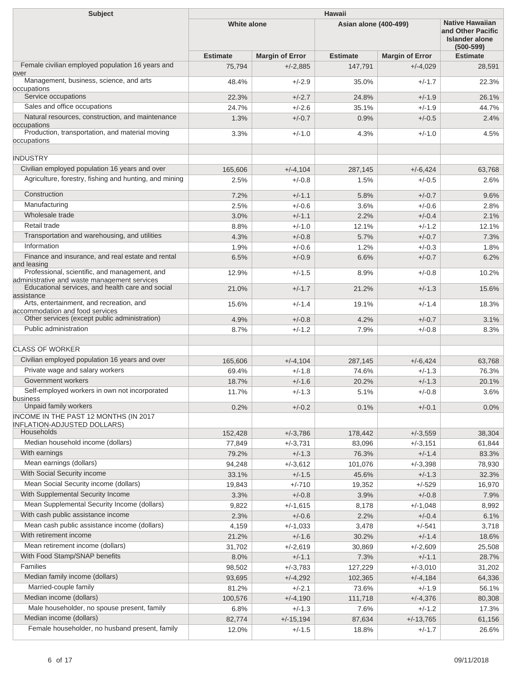| Subject                                                                                       | <b>Hawaii</b>      |                        |                       |                        |                                                                                       |  |
|-----------------------------------------------------------------------------------------------|--------------------|------------------------|-----------------------|------------------------|---------------------------------------------------------------------------------------|--|
|                                                                                               | <b>White alone</b> |                        | Asian alone (400-499) |                        | <b>Native Hawaiian</b><br>and Other Pacific<br><b>Islander alone</b><br>$(500 - 599)$ |  |
|                                                                                               | <b>Estimate</b>    | <b>Margin of Error</b> | <b>Estimate</b>       | <b>Margin of Error</b> | <b>Estimate</b>                                                                       |  |
| Female civilian employed population 16 years and<br>over                                      | 75,794             | $+/-2,885$             | 147,791               | $+/-4,029$             | 28,591                                                                                |  |
| Management, business, science, and arts<br>occupations                                        | 48.4%              | $+/-2.9$               | 35.0%                 | $+/-1.7$               | 22.3%                                                                                 |  |
| Service occupations                                                                           | 22.3%              | $+/-2.7$               | 24.8%                 | $+/-1.9$               | 26.1%                                                                                 |  |
| Sales and office occupations                                                                  | 24.7%              | $+/-2.6$               | 35.1%                 | $+/-1.9$               | 44.7%                                                                                 |  |
| Natural resources, construction, and maintenance<br>occupations                               | 1.3%               | $+/-0.7$               | 0.9%                  | $+/-0.5$               | 2.4%                                                                                  |  |
| Production, transportation, and material moving<br>occupations                                | 3.3%               | $+/-1.0$               | 4.3%                  | $+/-1.0$               | 4.5%                                                                                  |  |
| <b>INDUSTRY</b>                                                                               |                    |                        |                       |                        |                                                                                       |  |
| Civilian employed population 16 years and over                                                | 165,606            | $+/-4,104$             | 287,145               | $+/-6,424$             | 63,768                                                                                |  |
| Agriculture, forestry, fishing and hunting, and mining                                        | 2.5%               | $+/-0.8$               | 1.5%                  | $+/-0.5$               | 2.6%                                                                                  |  |
| Construction                                                                                  | 7.2%               | $+/-1.1$               | 5.8%                  | $+/-0.7$               | 9.6%                                                                                  |  |
| Manufacturing                                                                                 | 2.5%               | $+/-0.6$               | 3.6%                  | $+/-0.6$               | 2.8%                                                                                  |  |
| Wholesale trade                                                                               | 3.0%               | $+/-1.1$               | 2.2%                  | $+/-0.4$               | 2.1%                                                                                  |  |
| Retail trade                                                                                  | 8.8%               | $+/-1.0$               | 12.1%                 | $+/-1.2$               | 12.1%                                                                                 |  |
| Transportation and warehousing, and utilities                                                 | 4.3%               | $+/-0.8$               | 5.7%                  | $+/-0.7$               | 7.3%                                                                                  |  |
| Information                                                                                   | 1.9%               | $+/-0.6$               | 1.2%                  | $+/-0.3$               | 1.8%                                                                                  |  |
| Finance and insurance, and real estate and rental<br>and leasing                              | 6.5%               | $+/-0.9$               | 6.6%                  | $+/-0.7$               | 6.2%                                                                                  |  |
| Professional, scientific, and management, and<br>administrative and waste management services | 12.9%              | $+/-1.5$               | 8.9%                  | $+/-0.8$               | 10.2%                                                                                 |  |
| Educational services, and health care and social<br>assistance                                | 21.0%              | $+/-1.7$               | 21.2%                 | $+/-1.3$               | 15.6%                                                                                 |  |
| Arts, entertainment, and recreation, and<br>accommodation and food services                   | 15.6%              | $+/-1.4$               | 19.1%                 | $+/-1.4$               | 18.3%                                                                                 |  |
| Other services (except public administration)                                                 | 4.9%               | $+/-0.8$               | 4.2%                  | $+/-0.7$               | 3.1%                                                                                  |  |
| Public administration                                                                         | 8.7%               | $+/-1.2$               | 7.9%                  | $+/-0.8$               | 8.3%                                                                                  |  |
| <b>CLASS OF WORKER</b>                                                                        |                    |                        |                       |                        |                                                                                       |  |
| Civilian employed population 16 years and over                                                | 165,606            | $+/-4,104$             | 287,145               | $+/-6,424$             | 63,768                                                                                |  |
| Private wage and salary workers                                                               | 69.4%              | $+/-1.8$               | 74.6%                 | $+/-1.3$               | 76.3%                                                                                 |  |
| Government workers                                                                            | 18.7%              | $+/-1.6$               | 20.2%                 | $+/-1.3$               | 20.1%                                                                                 |  |
| Self-employed workers in own not incorporated<br>business                                     | 11.7%              | $+/-1.3$               | 5.1%                  | $+/-0.8$               | 3.6%                                                                                  |  |
| Unpaid family workers                                                                         | 0.2%               | $+/-0.2$               | 0.1%                  | $+/-0.1$               | 0.0%                                                                                  |  |
| INCOME IN THE PAST 12 MONTHS (IN 2017<br><b>INFLATION-ADJUSTED DOLLARS)</b>                   |                    |                        |                       |                        |                                                                                       |  |
| Households                                                                                    | 152,428            | $+/-3,786$             | 178,442               | $+/-3,559$             | 38,304                                                                                |  |
| Median household income (dollars)                                                             | 77,849             | $+/-3,731$             | 83,096                | $+/-3,151$             | 61,844                                                                                |  |
| With earnings                                                                                 | 79.2%              | $+/-1.3$               | 76.3%                 | $+/-1.4$               | 83.3%                                                                                 |  |
| Mean earnings (dollars)                                                                       | 94,248             | $+/-3,612$             | 101,076               | $+/-3,398$             | 78,930                                                                                |  |
| With Social Security income                                                                   | 33.1%              | $+/-1.5$               | 45.6%                 | $+/-1.3$               | 32.3%                                                                                 |  |
| Mean Social Security income (dollars)                                                         | 19,843             | $+/-710$               | 19,352                | $+/-529$               | 16,970                                                                                |  |
| With Supplemental Security Income                                                             | 3.3%               | $+/-0.8$               | 3.9%                  | $+/-0.8$               | 7.9%                                                                                  |  |
| Mean Supplemental Security Income (dollars)                                                   | 9,822              | $+/-1,615$             | 8,178                 | $+/-1,048$             | 8,992                                                                                 |  |
| With cash public assistance income                                                            | 2.3%               | $+/-0.6$               | 2.2%                  | $+/-0.4$               | 6.1%                                                                                  |  |
| Mean cash public assistance income (dollars)                                                  | 4,159              | $+/-1,033$             | 3,478                 | $+/-541$               | 3,718                                                                                 |  |
| With retirement income                                                                        | 21.2%              | $+/-1.6$               | 30.2%                 | $+/-1.4$               | 18.6%                                                                                 |  |
| Mean retirement income (dollars)                                                              | 31,702             | $+/-2,619$             | 30,869                | $+/-2,609$             | 25,508                                                                                |  |
| With Food Stamp/SNAP benefits                                                                 | 8.0%               | $+/-1.1$               | 7.3%                  | $+/-1.1$               | 28.7%                                                                                 |  |
| Families                                                                                      | 98,502             | $+/-3,783$             | 127,229               | $+/-3,010$             | 31,202                                                                                |  |
| Median family income (dollars)                                                                | 93,695             | $+/-4,292$             | 102,365               | $+/-4,184$             | 64,336                                                                                |  |
| Married-couple family                                                                         | 81.2%              | $+/-2.1$               | 73.6%                 | $+/-1.9$               | 56.1%                                                                                 |  |
| Median income (dollars)                                                                       | 100,576            | $+/-4,190$             | 111,718               | $+/-4,376$             | 80,308                                                                                |  |
| Male householder, no spouse present, family                                                   | 6.8%               | $+/-1.3$               | 7.6%                  | $+/-1.2$               | 17.3%                                                                                 |  |
| Median income (dollars)                                                                       | 82,774             | $+/-15,194$            | 87,634                | $+/-13,765$            | 61,156                                                                                |  |
| Female householder, no husband present, family                                                | 12.0%              | $+/-1.5$               | 18.8%                 | $+/-1.7$               | 26.6%                                                                                 |  |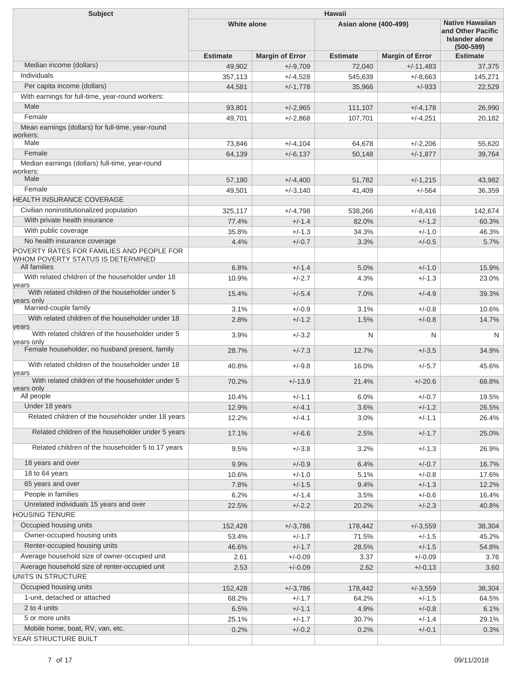| Hawaii<br><b>Subject</b>                                                                                       |                    |                        |                       |                                                                                       |                 |
|----------------------------------------------------------------------------------------------------------------|--------------------|------------------------|-----------------------|---------------------------------------------------------------------------------------|-----------------|
|                                                                                                                | <b>White alone</b> |                        | Asian alone (400-499) | <b>Native Hawaiian</b><br>and Other Pacific<br><b>Islander alone</b><br>$(500 - 599)$ |                 |
|                                                                                                                | <b>Estimate</b>    | <b>Margin of Error</b> | <b>Estimate</b>       | <b>Margin of Error</b>                                                                | <b>Estimate</b> |
| Median income (dollars)                                                                                        | 49,902             | $+/-9,709$             | 72,040                | $+/-11,483$                                                                           | 37,375          |
| Individuals                                                                                                    | 357,113            | $+/-4,528$             | 545,639               | $+/-8,663$                                                                            | 145,271         |
| Per capita income (dollars)                                                                                    | 44,581             | $+/-1,778$             | 35,966                | $+/-933$                                                                              | 22,529          |
| With earnings for full-time, year-round workers:                                                               |                    |                        |                       |                                                                                       |                 |
| Male                                                                                                           | 93,801             | $+/-2,965$             | 111,107               | $+/-4,178$                                                                            | 26,990          |
| Female                                                                                                         | 49,701             | $+/-2.868$             | 107,701               | $+/-4,251$                                                                            | 20,182          |
| Mean earnings (dollars) for full-time, year-round<br>workers:                                                  |                    |                        |                       |                                                                                       |                 |
| Male                                                                                                           | 73,846             | $+/-4,104$             | 64,678                | $+/-2,206$                                                                            | 55,620          |
| Female                                                                                                         | 64,139             | $+/-6,137$             | 50,148                | $+/-1,877$                                                                            | 39,764          |
| Median earnings (dollars) full-time, year-round<br>workers:                                                    |                    |                        |                       |                                                                                       |                 |
| Male                                                                                                           | 57,190             | $+/-4,400$             | 51,782                | $+/-1,215$                                                                            | 43,982          |
| Female                                                                                                         | 49,501             | $+/-3,140$             | 41,409                | $+/-564$                                                                              | 36,359          |
| <b>HEALTH INSURANCE COVERAGE</b>                                                                               |                    |                        |                       |                                                                                       |                 |
| Civilian noninstitutionalized population                                                                       | 325,117            | $+/-4,798$             | 538,266               | $+/-8,416$                                                                            | 142,674         |
| With private health insurance                                                                                  | 77.4%              | $+/-1.4$               | 82.0%                 | $+/-1.2$                                                                              | 60.3%           |
| With public coverage                                                                                           | 35.8%              | $+/-1.3$               | 34.3%                 | $+/-1.0$                                                                              | 46.3%           |
| No health insurance coverage<br>POVERTY RATES FOR FAMILIES AND PEOPLE FOR<br>WHOM POVERTY STATUS IS DETERMINED | 4.4%               | $+/-0.7$               | 3.3%                  | $+/-0.5$                                                                              | 5.7%            |
| All families                                                                                                   | 6.8%               | $+/-1.4$               | 5.0%                  | $+/-1.0$                                                                              | 15.9%           |
| With related children of the householder under 18<br>years                                                     | 10.9%              | $+/-2.7$               | 4.3%                  | $+/-1.3$                                                                              | 23.0%           |
| With related children of the householder under 5<br>years only                                                 | 15.4%              | $+/-5.4$               | 7.0%                  | $+/-4.9$                                                                              | 39.3%           |
| Married-couple family                                                                                          | 3.1%               | $+/-0.9$               | 3.1%                  | $+/-0.8$                                                                              | 10.6%           |
| With related children of the householder under 18                                                              | 2.8%               | $+/-1.2$               | 1.5%                  | $+/-0.8$                                                                              | 14.7%           |
| years<br>With related children of the householder under 5<br>years only                                        | 3.9%               | $+/-3.2$               | N                     | N                                                                                     | N               |
| Female householder, no husband present, family                                                                 | 28.7%              | $+/-7.3$               | 12.7%                 | $+/-3.5$                                                                              | 34.9%           |
| With related children of the householder under 18<br>years                                                     | 40.8%              | $+/-9.8$               | 16.0%                 | $+/-5.7$                                                                              | 45.6%           |
| With related children of the householder under 5<br>years only                                                 | 70.2%              | $+/-13.9$              | 21.4%                 | $+/-20.6$                                                                             | 68.8%           |
| All people                                                                                                     | 10.4%              | $+/-1.1$               | 6.0%                  | $+/-0.7$                                                                              | 19.5%           |
| Under 18 years                                                                                                 | 12.9%              | $+/-4.1$               | 3.6%                  | $+/-1.2$                                                                              | 26.5%           |
| Related children of the householder under 18 years<br>Related children of the householder under 5 years        | 12.2%<br>17.1%     | $+/-4.1$<br>$+/-6.6$   | 3.0%<br>2.5%          | $+/-1.1$<br>$+/-1.7$                                                                  | 26.4%<br>25.0%  |
| Related children of the householder 5 to 17 years                                                              | 9.5%               | $+/-3.8$               | 3.2%                  | $+/-1.3$                                                                              | 26.9%           |
|                                                                                                                |                    |                        |                       |                                                                                       |                 |
| 18 years and over                                                                                              | 9.9%               | $+/-0.9$               | 6.4%                  | $+/-0.7$                                                                              | 16.7%           |
| 18 to 64 years<br>65 years and over                                                                            | 10.6%              | $+/-1.0$               | 5.1%                  | $+/-0.8$                                                                              | 17.6%           |
| People in families                                                                                             | 7.8%               | $+/-1.5$               | 9.4%                  | $+/-1.3$                                                                              | 12.2%           |
| Unrelated individuals 15 years and over                                                                        | 6.2%               | $+/-1.4$               | 3.5%                  | $+/-0.6$                                                                              | 16.4%           |
| <b>HOUSING TENURE</b>                                                                                          | 22.5%              | $+/-2.2$               | 20.2%                 | $+/-2.3$                                                                              | 40.8%           |
| Occupied housing units                                                                                         | 152,428            | $+/-3,786$             | 178,442               | $+/-3,559$                                                                            | 38,304          |
| Owner-occupied housing units                                                                                   | 53.4%              | $+/-1.7$               | 71.5%                 | $+/-1.5$                                                                              | 45.2%           |
| Renter-occupied housing units                                                                                  | 46.6%              | $+/-1.7$               | 28.5%                 | $+/-1.5$                                                                              | 54.8%           |
| Average household size of owner-occupied unit                                                                  | 2.61               | $+/-0.09$              | 3.37                  | $+/-0.09$                                                                             | 3.76            |
| Average household size of renter-occupied unit                                                                 | 2.53               | $+/-0.09$              | 2.62                  | $+/-0.13$                                                                             | 3.60            |
| UNITS IN STRUCTURE                                                                                             |                    |                        |                       |                                                                                       |                 |
| Occupied housing units                                                                                         | 152,428            | $+/-3,786$             | 178,442               | $+/-3,559$                                                                            | 38,304          |
| 1-unit, detached or attached                                                                                   | 68.2%              | $+/-1.7$               | 64.2%                 | $+/-1.5$                                                                              | 64.5%           |
| 2 to 4 units                                                                                                   | 6.5%               | $+/-1.1$               | 4.9%                  | $+/-0.8$                                                                              | 6.1%            |
| 5 or more units                                                                                                | 25.1%              | $+/-1.7$               | 30.7%                 | $+/-1.4$                                                                              | 29.1%           |
| Mobile home, boat, RV, van, etc.                                                                               | 0.2%               | $+/-0.2$               | 0.2%                  | $+/-0.1$                                                                              | 0.3%            |
| YEAR STRUCTURE BUILT                                                                                           |                    |                        |                       |                                                                                       |                 |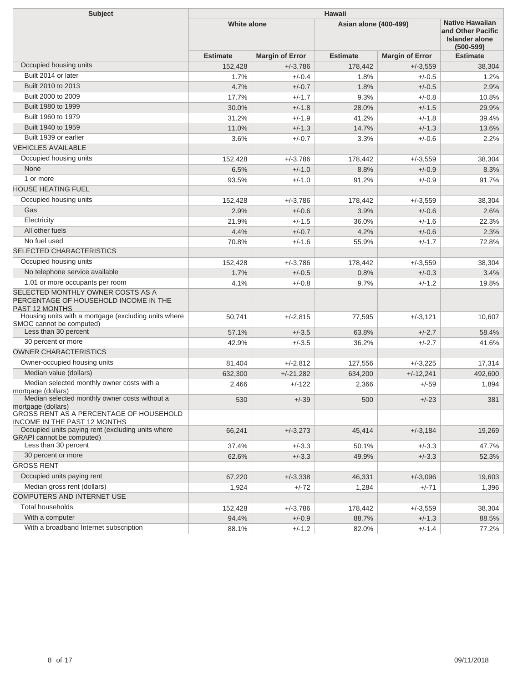| <b>Subject</b>                                                                               | <b>Hawaii</b>      |                        |                              |                                                                                       |                 |  |
|----------------------------------------------------------------------------------------------|--------------------|------------------------|------------------------------|---------------------------------------------------------------------------------------|-----------------|--|
|                                                                                              | <b>White alone</b> |                        | <b>Asian alone (400-499)</b> | <b>Native Hawaiian</b><br>and Other Pacific<br><b>Islander alone</b><br>$(500 - 599)$ |                 |  |
|                                                                                              | <b>Estimate</b>    | <b>Margin of Error</b> | <b>Estimate</b>              | <b>Margin of Error</b>                                                                | <b>Estimate</b> |  |
| Occupied housing units                                                                       | 152,428            | $+/-3,786$             | 178,442                      | $+/-3,559$                                                                            | 38,304          |  |
| Built 2014 or later                                                                          | 1.7%               | $+/-0.4$               | 1.8%                         | $+/-0.5$                                                                              | 1.2%            |  |
| Built 2010 to 2013                                                                           | 4.7%               | $+/-0.7$               | 1.8%                         | $+/-0.5$                                                                              | 2.9%            |  |
| Built 2000 to 2009                                                                           | 17.7%              | $+/-1.7$               | 9.3%                         | $+/-0.8$                                                                              | 10.8%           |  |
| Built 1980 to 1999                                                                           | 30.0%              | $+/-1.8$               | 28.0%                        | $+/-1.5$                                                                              | 29.9%           |  |
| Built 1960 to 1979                                                                           | 31.2%              | $+/-1.9$               | 41.2%                        | $+/-1.8$                                                                              | 39.4%           |  |
| Built 1940 to 1959                                                                           | 11.0%              | $+/-1.3$               | 14.7%                        | $+/-1.3$                                                                              | 13.6%           |  |
| Built 1939 or earlier                                                                        | 3.6%               | $+/-0.7$               | 3.3%                         | $+/-0.6$                                                                              | 2.2%            |  |
| <b>VEHICLES AVAILABLE</b>                                                                    |                    |                        |                              |                                                                                       |                 |  |
| Occupied housing units                                                                       | 152,428            | $+/-3,786$             | 178,442                      | $+/-3,559$                                                                            | 38,304          |  |
| None                                                                                         | 6.5%               | $+/-1.0$               | 8.8%                         | $+/-0.9$                                                                              | 8.3%            |  |
| 1 or more                                                                                    | 93.5%              | $+/-1.0$               | 91.2%                        | $+/-0.9$                                                                              | 91.7%           |  |
| <b>HOUSE HEATING FUEL</b>                                                                    |                    |                        |                              |                                                                                       |                 |  |
| Occupied housing units                                                                       | 152,428            | $+/-3,786$             | 178,442                      | $+/-3,559$                                                                            | 38,304          |  |
| Gas                                                                                          | 2.9%               | $+/-0.6$               | 3.9%                         | $+/-0.6$                                                                              | 2.6%            |  |
| Electricity                                                                                  | 21.9%              | $+/-1.5$               | 36.0%                        | $+/-1.6$                                                                              | 22.3%           |  |
| All other fuels                                                                              | 4.4%               | $+/-0.7$               | 4.2%                         | $+/-0.6$                                                                              | 2.3%            |  |
| No fuel used                                                                                 | 70.8%              | $+/-1.6$               | 55.9%                        | $+/-1.7$                                                                              | 72.8%           |  |
| SELECTED CHARACTERISTICS                                                                     |                    |                        |                              |                                                                                       |                 |  |
| Occupied housing units                                                                       | 152,428            | $+/-3,786$             | 178,442                      | $+/-3,559$                                                                            | 38,304          |  |
| No telephone service available                                                               | 1.7%               | $+/-0.5$               | 0.8%                         | $+/-0.3$                                                                              | 3.4%            |  |
| 1.01 or more occupants per room                                                              | 4.1%               | $+/-0.8$               | 9.7%                         | $+/-1.2$                                                                              | 19.8%           |  |
| SELECTED MONTHLY OWNER COSTS AS A<br>PERCENTAGE OF HOUSEHOLD INCOME IN THE<br>PAST 12 MONTHS |                    |                        |                              |                                                                                       |                 |  |
| Housing units with a mortgage (excluding units where<br>SMOC cannot be computed)             | 50,741             | $+/-2,815$             | 77,595                       | $+/-3,121$                                                                            | 10,607          |  |
| Less than 30 percent                                                                         | 57.1%              | $+/-3.5$               | 63.8%                        | $+/-2.7$                                                                              | 58.4%           |  |
| 30 percent or more                                                                           | 42.9%              | $+/-3.5$               | 36.2%                        | $+/-2.7$                                                                              | 41.6%           |  |
| <b>OWNER CHARACTERISTICS</b>                                                                 |                    |                        |                              |                                                                                       |                 |  |
| Owner-occupied housing units                                                                 | 81,404             | $+/-2,812$             | 127,556                      | $+/-3,225$                                                                            | 17,314          |  |
| Median value (dollars)                                                                       | 632,300            | $+/-21,282$            | 634,200                      | $+/-12,241$                                                                           | 492,600         |  |
| Median selected monthly owner costs with a<br>mortgage (dollars)                             | 2,466              | $+/-122$               | 2,366                        | $+/-59$                                                                               | 1,894           |  |
| Median selected monthly owner costs without a<br>mortgage (dollars)                          | 530                | $+/-39$                | 500                          | $+/-23$                                                                               | 381             |  |
| GROSS RENT AS A PERCENTAGE OF HOUSEHOLD<br><b>INCOME IN THE PAST 12 MONTHS</b>               |                    |                        |                              |                                                                                       |                 |  |
| Occupied units paying rent (excluding units where<br><b>GRAPI</b> cannot be computed)        | 66,241             | $+/-3,273$             | 45,414                       | $+/-3,184$                                                                            | 19,269          |  |
| Less than 30 percent                                                                         | 37.4%              | $+/-3.3$               | 50.1%                        | $+/-3.3$                                                                              | 47.7%           |  |
| 30 percent or more                                                                           | 62.6%              | $+/-3.3$               | 49.9%                        | $+/-3.3$                                                                              | 52.3%           |  |
| <b>GROSS RENT</b>                                                                            |                    |                        |                              |                                                                                       |                 |  |
| Occupied units paying rent                                                                   | 67,220             | $+/-3,338$             | 46,331                       | $+/-3,096$                                                                            | 19,603          |  |
| Median gross rent (dollars)                                                                  | 1,924              | $+/-72$                | 1,284                        | $+/-71$                                                                               | 1,396           |  |
| COMPUTERS AND INTERNET USE                                                                   |                    |                        |                              |                                                                                       |                 |  |
| <b>Total households</b>                                                                      | 152,428            | $+/-3,786$             | 178,442                      | $+/-3,559$                                                                            | 38,304          |  |
| With a computer                                                                              | 94.4%              | $+/-0.9$               | 88.7%                        | $+/-1.3$                                                                              | 88.5%           |  |
| With a broadband Internet subscription                                                       | 88.1%              | $+/-1.2$               | 82.0%                        | $+/-1.4$                                                                              | 77.2%           |  |
|                                                                                              |                    |                        |                              |                                                                                       |                 |  |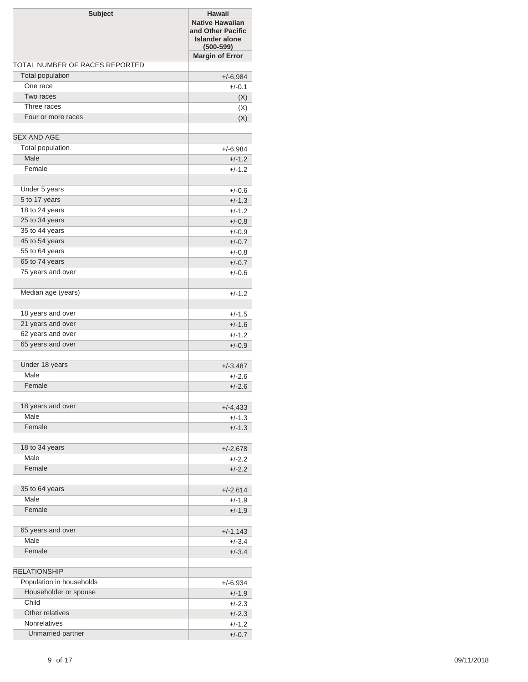| <b>Subject</b>                 | <b>Hawaii</b><br><b>Native Hawaiian</b><br>and Other Pacific<br><b>Islander alone</b><br>$(500 - 599)$ |
|--------------------------------|--------------------------------------------------------------------------------------------------------|
|                                | <b>Margin of Error</b>                                                                                 |
| TOTAL NUMBER OF RACES REPORTED |                                                                                                        |
| Total population               | $+/-6,984$                                                                                             |
| One race                       | $+/-0.1$                                                                                               |
| Two races                      | (X)                                                                                                    |
| Three races                    | (X)                                                                                                    |
| Four or more races             | (X)                                                                                                    |
| <b>SEX AND AGE</b>             |                                                                                                        |
| Total population               | $+/-6,984$                                                                                             |
| Male                           | $+/-1.2$                                                                                               |
| Female                         | $+/-1.2$                                                                                               |
| Under 5 years                  | $+/-0.6$                                                                                               |
| 5 to 17 years                  | $+/-1.3$                                                                                               |
| 18 to 24 years                 | $+/-1.2$                                                                                               |
| 25 to 34 years                 | $+/-0.8$                                                                                               |
| 35 to 44 years                 | $+/-0.9$                                                                                               |
| 45 to 54 years                 | $+/-0.7$                                                                                               |
| 55 to 64 years                 | $+/-0.8$                                                                                               |
| 65 to 74 years                 | $+/-0.7$                                                                                               |
| 75 years and over              | $+/-0.6$                                                                                               |
|                                |                                                                                                        |
| Median age (years)             | $+/-1.2$                                                                                               |
| 18 years and over              | $+/-1.5$                                                                                               |
| 21 years and over              | $+/-1.6$                                                                                               |
| 62 years and over              | $+/-1.2$                                                                                               |
| 65 years and over              | $+/-0.9$                                                                                               |
| Under 18 years                 | $+/-3,487$                                                                                             |
| Male                           | $+/-2.6$                                                                                               |
| Female                         | $+/-2.6$                                                                                               |
| 18 years and over              | $+/-4,433$                                                                                             |
| Male                           | $+/-1.3$                                                                                               |
| Female                         | $+/-1.3$                                                                                               |
|                                |                                                                                                        |
| 18 to 34 years                 | $+/-2,678$                                                                                             |
| Male                           | $+/-2.2$                                                                                               |
| Female                         | $+/-2.2$                                                                                               |
|                                |                                                                                                        |
| 35 to 64 years                 | $+/-2,614$                                                                                             |
| Male                           | $+/-1.9$                                                                                               |
| Female                         | $+/-1.9$                                                                                               |
| 65 years and over              | $+/-1,143$                                                                                             |
| Male                           | $+/-3.4$                                                                                               |
| Female                         | $+/-3.4$                                                                                               |
| <b>RELATIONSHIP</b>            |                                                                                                        |
| Population in households       | $+/-6,934$                                                                                             |
| Householder or spouse          | $+/-1.9$                                                                                               |
| Child                          | $+/-2.3$                                                                                               |
| Other relatives                | $+/-2.3$                                                                                               |
| Nonrelatives                   | $+/-1.2$                                                                                               |
| Unmarried partner              | $+/-0.7$                                                                                               |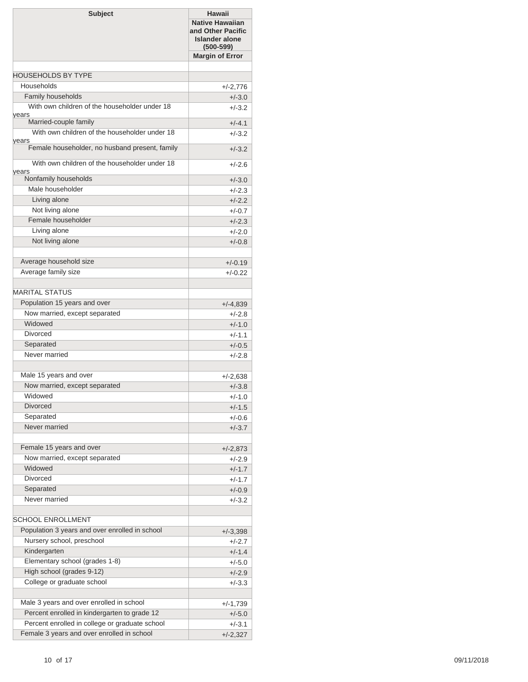| <b>Subject</b>                                          | <b>Hawaii</b><br><b>Native Hawaiian</b><br>and Other Pacific<br><b>Islander alone</b><br>$(500 - 599)$ |
|---------------------------------------------------------|--------------------------------------------------------------------------------------------------------|
|                                                         | <b>Margin of Error</b>                                                                                 |
|                                                         |                                                                                                        |
| <b>HOUSEHOLDS BY TYPE</b>                               |                                                                                                        |
| Households                                              | $+/-2,776$                                                                                             |
| Family households                                       | $+/-3.0$                                                                                               |
| With own children of the householder under 18<br>years  | $+/-3.2$                                                                                               |
| Married-couple family                                   | $+/-4.1$                                                                                               |
| With own children of the householder under 18           | $+/-3.2$                                                                                               |
| years<br>Female householder, no husband present, family | $+/-3.2$                                                                                               |
|                                                         |                                                                                                        |
| With own children of the householder under 18<br>years  | $+/-2.6$                                                                                               |
| Nonfamily households                                    | $+/-3.0$                                                                                               |
| Male householder                                        | $+/-2.3$                                                                                               |
| Living alone                                            | $+/-2.2$                                                                                               |
| Not living alone                                        | $+/-0.7$                                                                                               |
| Female householder                                      | $+/-2.3$                                                                                               |
| Living alone                                            | $+/-2.0$                                                                                               |
| Not living alone                                        | $+/-0.8$                                                                                               |
| Average household size                                  |                                                                                                        |
| Average family size                                     | $+/-0.19$<br>$+/-0.22$                                                                                 |
|                                                         |                                                                                                        |
| <b>MARITAL STATUS</b>                                   |                                                                                                        |
| Population 15 years and over                            | $+/-4,839$                                                                                             |
| Now married, except separated                           | $+/-2.8$                                                                                               |
| Widowed                                                 | $+/-1.0$                                                                                               |
| <b>Divorced</b>                                         | $+/-1.1$                                                                                               |
| Separated                                               | $+/-0.5$                                                                                               |
| Never married                                           | $+/-2.8$                                                                                               |
|                                                         |                                                                                                        |
| Male 15 years and over                                  | $+/-2,638$                                                                                             |
| Now married, except separated                           | $+/-3.8$                                                                                               |
| Widowed                                                 | $+/-1.0$                                                                                               |
| <b>Divorced</b>                                         | $+/-1.5$                                                                                               |
| Separated                                               | $+/-0.6$                                                                                               |
| Never married                                           | $+/-3.7$                                                                                               |
|                                                         |                                                                                                        |
| Female 15 years and over                                | $+/-2,873$                                                                                             |
| Now married, except separated<br>Widowed                | $+/-2.9$                                                                                               |
| <b>Divorced</b>                                         | $+/-1.7$                                                                                               |
| Separated                                               | $+/-1.7$                                                                                               |
| Never married                                           | $+/-0.9$<br>$+/-3.2$                                                                                   |
|                                                         |                                                                                                        |
| SCHOOL ENROLLMENT                                       |                                                                                                        |
| Population 3 years and over enrolled in school          | $+/-3,398$                                                                                             |
| Nursery school, preschool                               | $+/-2.7$                                                                                               |
| Kindergarten                                            | $+/-1.4$                                                                                               |
| Elementary school (grades 1-8)                          | $+/-5.0$                                                                                               |
| High school (grades 9-12)                               | $+/-2.9$                                                                                               |
| College or graduate school                              | $+/-3.3$                                                                                               |
|                                                         |                                                                                                        |
| Male 3 years and over enrolled in school                | $+/-1,739$                                                                                             |
| Percent enrolled in kindergarten to grade 12            | $+/-5.0$                                                                                               |
| Percent enrolled in college or graduate school          | $+/-3.1$                                                                                               |
| Female 3 years and over enrolled in school              | $+/-2,327$                                                                                             |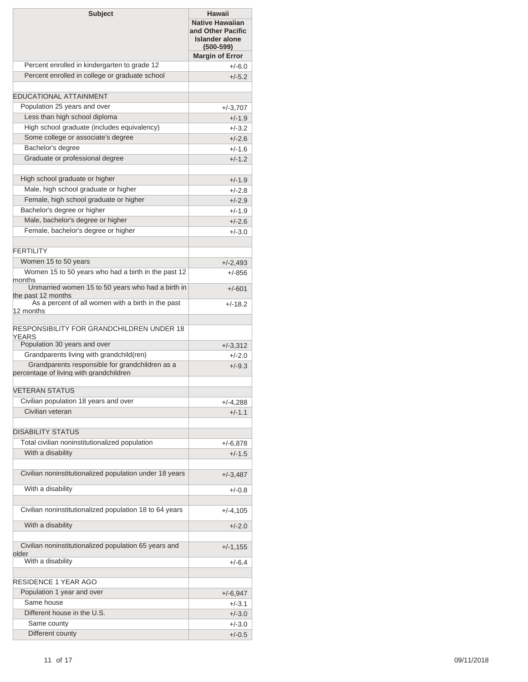| <b>Margin of Error</b><br>Percent enrolled in kindergarten to grade 12<br>$+/-6.0$<br>Percent enrolled in college or graduate school<br>$+/-5.2$<br><b>EDUCATIONAL ATTAINMENT</b><br>Population 25 years and over<br>$+/-3,707$<br>Less than high school diploma<br>$+/-1.9$<br>High school graduate (includes equivalency)<br>$+/-3.2$<br>Some college or associate's degree<br>$+/-2.6$<br>Bachelor's degree<br>$+/-1.6$<br>Graduate or professional degree<br>$+/-1.2$<br>High school graduate or higher<br>$+/-1.9$<br>Male, high school graduate or higher<br>$+/-2.8$<br>Female, high school graduate or higher<br>$+/-2.9$<br>Bachelor's degree or higher<br>$+/-1.9$<br>Male, bachelor's degree or higher<br>$+/-2.6$<br>Female, bachelor's degree or higher<br>$+/-3.0$<br><b>FFRTILITY</b><br>Women 15 to 50 years<br>$+/-2,493$<br>Women 15 to 50 years who had a birth in the past 12<br>$+/-856$<br>months<br>Unmarried women 15 to 50 years who had a birth in<br>$+/-601$<br>the past 12 months<br>As a percent of all women with a birth in the past<br>$+/-18.2$<br>12 months<br>RESPONSIBILITY FOR GRANDCHILDREN UNDER 18<br>YEARS<br>Population 30 years and over<br>$+/-3,312$<br>Grandparents living with grandchild(ren)<br>$+/-2.0$<br>Grandparents responsible for grandchildren as a<br>$+/-9.3$<br><b>VETERAN STATUS</b><br>Civilian population 18 years and over<br>$+/-4,288$<br>Civilian veteran<br>$+/-1.1$<br><b>DISABILITY STATUS</b><br>Total civilian noninstitutionalized population<br>$+/-6,878$<br>With a disability<br>$+/-1.5$<br>Civilian noninstitutionalized population under 18 years<br>$+/-3,487$<br>With a disability<br>$+/-0.8$<br>Civilian noninstitutionalized population 18 to 64 years<br>$+/-4,105$<br>With a disability<br>$+/-2.0$<br>Civilian noninstitutionalized population 65 years and<br>$+/-1,155$<br>older<br>With a disability<br>$+/-6.4$<br>RESIDENCE 1 YEAR AGO<br>Population 1 year and over<br>$+/-6,947$<br>Same house<br>+/-3.1<br>Different house in the U.S.<br>$+/-3.0$<br>Same county<br>$+/-3.0$<br>Different county<br>$+/-0.5$ | <b>Subject</b>                          | <b>Hawaii</b><br><b>Native Hawaiian</b><br>and Other Pacific<br><b>Islander alone</b><br>$(500 - 599)$ |  |
|---------------------------------------------------------------------------------------------------------------------------------------------------------------------------------------------------------------------------------------------------------------------------------------------------------------------------------------------------------------------------------------------------------------------------------------------------------------------------------------------------------------------------------------------------------------------------------------------------------------------------------------------------------------------------------------------------------------------------------------------------------------------------------------------------------------------------------------------------------------------------------------------------------------------------------------------------------------------------------------------------------------------------------------------------------------------------------------------------------------------------------------------------------------------------------------------------------------------------------------------------------------------------------------------------------------------------------------------------------------------------------------------------------------------------------------------------------------------------------------------------------------------------------------------------------------------------------------------------------------------------------------------------------------------------------------------------------------------------------------------------------------------------------------------------------------------------------------------------------------------------------------------------------------------------------------------------------------------------------------------------------------------------------------------------------------------------------------------------------------|-----------------------------------------|--------------------------------------------------------------------------------------------------------|--|
|                                                                                                                                                                                                                                                                                                                                                                                                                                                                                                                                                                                                                                                                                                                                                                                                                                                                                                                                                                                                                                                                                                                                                                                                                                                                                                                                                                                                                                                                                                                                                                                                                                                                                                                                                                                                                                                                                                                                                                                                                                                                                                               |                                         |                                                                                                        |  |
|                                                                                                                                                                                                                                                                                                                                                                                                                                                                                                                                                                                                                                                                                                                                                                                                                                                                                                                                                                                                                                                                                                                                                                                                                                                                                                                                                                                                                                                                                                                                                                                                                                                                                                                                                                                                                                                                                                                                                                                                                                                                                                               |                                         |                                                                                                        |  |
|                                                                                                                                                                                                                                                                                                                                                                                                                                                                                                                                                                                                                                                                                                                                                                                                                                                                                                                                                                                                                                                                                                                                                                                                                                                                                                                                                                                                                                                                                                                                                                                                                                                                                                                                                                                                                                                                                                                                                                                                                                                                                                               |                                         |                                                                                                        |  |
|                                                                                                                                                                                                                                                                                                                                                                                                                                                                                                                                                                                                                                                                                                                                                                                                                                                                                                                                                                                                                                                                                                                                                                                                                                                                                                                                                                                                                                                                                                                                                                                                                                                                                                                                                                                                                                                                                                                                                                                                                                                                                                               |                                         |                                                                                                        |  |
|                                                                                                                                                                                                                                                                                                                                                                                                                                                                                                                                                                                                                                                                                                                                                                                                                                                                                                                                                                                                                                                                                                                                                                                                                                                                                                                                                                                                                                                                                                                                                                                                                                                                                                                                                                                                                                                                                                                                                                                                                                                                                                               |                                         |                                                                                                        |  |
|                                                                                                                                                                                                                                                                                                                                                                                                                                                                                                                                                                                                                                                                                                                                                                                                                                                                                                                                                                                                                                                                                                                                                                                                                                                                                                                                                                                                                                                                                                                                                                                                                                                                                                                                                                                                                                                                                                                                                                                                                                                                                                               |                                         |                                                                                                        |  |
|                                                                                                                                                                                                                                                                                                                                                                                                                                                                                                                                                                                                                                                                                                                                                                                                                                                                                                                                                                                                                                                                                                                                                                                                                                                                                                                                                                                                                                                                                                                                                                                                                                                                                                                                                                                                                                                                                                                                                                                                                                                                                                               |                                         |                                                                                                        |  |
|                                                                                                                                                                                                                                                                                                                                                                                                                                                                                                                                                                                                                                                                                                                                                                                                                                                                                                                                                                                                                                                                                                                                                                                                                                                                                                                                                                                                                                                                                                                                                                                                                                                                                                                                                                                                                                                                                                                                                                                                                                                                                                               |                                         |                                                                                                        |  |
|                                                                                                                                                                                                                                                                                                                                                                                                                                                                                                                                                                                                                                                                                                                                                                                                                                                                                                                                                                                                                                                                                                                                                                                                                                                                                                                                                                                                                                                                                                                                                                                                                                                                                                                                                                                                                                                                                                                                                                                                                                                                                                               |                                         |                                                                                                        |  |
|                                                                                                                                                                                                                                                                                                                                                                                                                                                                                                                                                                                                                                                                                                                                                                                                                                                                                                                                                                                                                                                                                                                                                                                                                                                                                                                                                                                                                                                                                                                                                                                                                                                                                                                                                                                                                                                                                                                                                                                                                                                                                                               |                                         |                                                                                                        |  |
|                                                                                                                                                                                                                                                                                                                                                                                                                                                                                                                                                                                                                                                                                                                                                                                                                                                                                                                                                                                                                                                                                                                                                                                                                                                                                                                                                                                                                                                                                                                                                                                                                                                                                                                                                                                                                                                                                                                                                                                                                                                                                                               |                                         |                                                                                                        |  |
|                                                                                                                                                                                                                                                                                                                                                                                                                                                                                                                                                                                                                                                                                                                                                                                                                                                                                                                                                                                                                                                                                                                                                                                                                                                                                                                                                                                                                                                                                                                                                                                                                                                                                                                                                                                                                                                                                                                                                                                                                                                                                                               |                                         |                                                                                                        |  |
|                                                                                                                                                                                                                                                                                                                                                                                                                                                                                                                                                                                                                                                                                                                                                                                                                                                                                                                                                                                                                                                                                                                                                                                                                                                                                                                                                                                                                                                                                                                                                                                                                                                                                                                                                                                                                                                                                                                                                                                                                                                                                                               |                                         |                                                                                                        |  |
|                                                                                                                                                                                                                                                                                                                                                                                                                                                                                                                                                                                                                                                                                                                                                                                                                                                                                                                                                                                                                                                                                                                                                                                                                                                                                                                                                                                                                                                                                                                                                                                                                                                                                                                                                                                                                                                                                                                                                                                                                                                                                                               |                                         |                                                                                                        |  |
|                                                                                                                                                                                                                                                                                                                                                                                                                                                                                                                                                                                                                                                                                                                                                                                                                                                                                                                                                                                                                                                                                                                                                                                                                                                                                                                                                                                                                                                                                                                                                                                                                                                                                                                                                                                                                                                                                                                                                                                                                                                                                                               |                                         |                                                                                                        |  |
|                                                                                                                                                                                                                                                                                                                                                                                                                                                                                                                                                                                                                                                                                                                                                                                                                                                                                                                                                                                                                                                                                                                                                                                                                                                                                                                                                                                                                                                                                                                                                                                                                                                                                                                                                                                                                                                                                                                                                                                                                                                                                                               |                                         |                                                                                                        |  |
|                                                                                                                                                                                                                                                                                                                                                                                                                                                                                                                                                                                                                                                                                                                                                                                                                                                                                                                                                                                                                                                                                                                                                                                                                                                                                                                                                                                                                                                                                                                                                                                                                                                                                                                                                                                                                                                                                                                                                                                                                                                                                                               |                                         |                                                                                                        |  |
|                                                                                                                                                                                                                                                                                                                                                                                                                                                                                                                                                                                                                                                                                                                                                                                                                                                                                                                                                                                                                                                                                                                                                                                                                                                                                                                                                                                                                                                                                                                                                                                                                                                                                                                                                                                                                                                                                                                                                                                                                                                                                                               |                                         |                                                                                                        |  |
|                                                                                                                                                                                                                                                                                                                                                                                                                                                                                                                                                                                                                                                                                                                                                                                                                                                                                                                                                                                                                                                                                                                                                                                                                                                                                                                                                                                                                                                                                                                                                                                                                                                                                                                                                                                                                                                                                                                                                                                                                                                                                                               |                                         |                                                                                                        |  |
|                                                                                                                                                                                                                                                                                                                                                                                                                                                                                                                                                                                                                                                                                                                                                                                                                                                                                                                                                                                                                                                                                                                                                                                                                                                                                                                                                                                                                                                                                                                                                                                                                                                                                                                                                                                                                                                                                                                                                                                                                                                                                                               |                                         |                                                                                                        |  |
|                                                                                                                                                                                                                                                                                                                                                                                                                                                                                                                                                                                                                                                                                                                                                                                                                                                                                                                                                                                                                                                                                                                                                                                                                                                                                                                                                                                                                                                                                                                                                                                                                                                                                                                                                                                                                                                                                                                                                                                                                                                                                                               |                                         |                                                                                                        |  |
|                                                                                                                                                                                                                                                                                                                                                                                                                                                                                                                                                                                                                                                                                                                                                                                                                                                                                                                                                                                                                                                                                                                                                                                                                                                                                                                                                                                                                                                                                                                                                                                                                                                                                                                                                                                                                                                                                                                                                                                                                                                                                                               |                                         |                                                                                                        |  |
|                                                                                                                                                                                                                                                                                                                                                                                                                                                                                                                                                                                                                                                                                                                                                                                                                                                                                                                                                                                                                                                                                                                                                                                                                                                                                                                                                                                                                                                                                                                                                                                                                                                                                                                                                                                                                                                                                                                                                                                                                                                                                                               |                                         |                                                                                                        |  |
|                                                                                                                                                                                                                                                                                                                                                                                                                                                                                                                                                                                                                                                                                                                                                                                                                                                                                                                                                                                                                                                                                                                                                                                                                                                                                                                                                                                                                                                                                                                                                                                                                                                                                                                                                                                                                                                                                                                                                                                                                                                                                                               |                                         |                                                                                                        |  |
|                                                                                                                                                                                                                                                                                                                                                                                                                                                                                                                                                                                                                                                                                                                                                                                                                                                                                                                                                                                                                                                                                                                                                                                                                                                                                                                                                                                                                                                                                                                                                                                                                                                                                                                                                                                                                                                                                                                                                                                                                                                                                                               |                                         |                                                                                                        |  |
|                                                                                                                                                                                                                                                                                                                                                                                                                                                                                                                                                                                                                                                                                                                                                                                                                                                                                                                                                                                                                                                                                                                                                                                                                                                                                                                                                                                                                                                                                                                                                                                                                                                                                                                                                                                                                                                                                                                                                                                                                                                                                                               |                                         |                                                                                                        |  |
|                                                                                                                                                                                                                                                                                                                                                                                                                                                                                                                                                                                                                                                                                                                                                                                                                                                                                                                                                                                                                                                                                                                                                                                                                                                                                                                                                                                                                                                                                                                                                                                                                                                                                                                                                                                                                                                                                                                                                                                                                                                                                                               |                                         |                                                                                                        |  |
|                                                                                                                                                                                                                                                                                                                                                                                                                                                                                                                                                                                                                                                                                                                                                                                                                                                                                                                                                                                                                                                                                                                                                                                                                                                                                                                                                                                                                                                                                                                                                                                                                                                                                                                                                                                                                                                                                                                                                                                                                                                                                                               |                                         |                                                                                                        |  |
|                                                                                                                                                                                                                                                                                                                                                                                                                                                                                                                                                                                                                                                                                                                                                                                                                                                                                                                                                                                                                                                                                                                                                                                                                                                                                                                                                                                                                                                                                                                                                                                                                                                                                                                                                                                                                                                                                                                                                                                                                                                                                                               | percentage of living with grandchildren |                                                                                                        |  |
|                                                                                                                                                                                                                                                                                                                                                                                                                                                                                                                                                                                                                                                                                                                                                                                                                                                                                                                                                                                                                                                                                                                                                                                                                                                                                                                                                                                                                                                                                                                                                                                                                                                                                                                                                                                                                                                                                                                                                                                                                                                                                                               |                                         |                                                                                                        |  |
|                                                                                                                                                                                                                                                                                                                                                                                                                                                                                                                                                                                                                                                                                                                                                                                                                                                                                                                                                                                                                                                                                                                                                                                                                                                                                                                                                                                                                                                                                                                                                                                                                                                                                                                                                                                                                                                                                                                                                                                                                                                                                                               |                                         |                                                                                                        |  |
|                                                                                                                                                                                                                                                                                                                                                                                                                                                                                                                                                                                                                                                                                                                                                                                                                                                                                                                                                                                                                                                                                                                                                                                                                                                                                                                                                                                                                                                                                                                                                                                                                                                                                                                                                                                                                                                                                                                                                                                                                                                                                                               |                                         |                                                                                                        |  |
|                                                                                                                                                                                                                                                                                                                                                                                                                                                                                                                                                                                                                                                                                                                                                                                                                                                                                                                                                                                                                                                                                                                                                                                                                                                                                                                                                                                                                                                                                                                                                                                                                                                                                                                                                                                                                                                                                                                                                                                                                                                                                                               |                                         |                                                                                                        |  |
|                                                                                                                                                                                                                                                                                                                                                                                                                                                                                                                                                                                                                                                                                                                                                                                                                                                                                                                                                                                                                                                                                                                                                                                                                                                                                                                                                                                                                                                                                                                                                                                                                                                                                                                                                                                                                                                                                                                                                                                                                                                                                                               |                                         |                                                                                                        |  |
|                                                                                                                                                                                                                                                                                                                                                                                                                                                                                                                                                                                                                                                                                                                                                                                                                                                                                                                                                                                                                                                                                                                                                                                                                                                                                                                                                                                                                                                                                                                                                                                                                                                                                                                                                                                                                                                                                                                                                                                                                                                                                                               |                                         |                                                                                                        |  |
|                                                                                                                                                                                                                                                                                                                                                                                                                                                                                                                                                                                                                                                                                                                                                                                                                                                                                                                                                                                                                                                                                                                                                                                                                                                                                                                                                                                                                                                                                                                                                                                                                                                                                                                                                                                                                                                                                                                                                                                                                                                                                                               |                                         |                                                                                                        |  |
|                                                                                                                                                                                                                                                                                                                                                                                                                                                                                                                                                                                                                                                                                                                                                                                                                                                                                                                                                                                                                                                                                                                                                                                                                                                                                                                                                                                                                                                                                                                                                                                                                                                                                                                                                                                                                                                                                                                                                                                                                                                                                                               |                                         |                                                                                                        |  |
|                                                                                                                                                                                                                                                                                                                                                                                                                                                                                                                                                                                                                                                                                                                                                                                                                                                                                                                                                                                                                                                                                                                                                                                                                                                                                                                                                                                                                                                                                                                                                                                                                                                                                                                                                                                                                                                                                                                                                                                                                                                                                                               |                                         |                                                                                                        |  |
|                                                                                                                                                                                                                                                                                                                                                                                                                                                                                                                                                                                                                                                                                                                                                                                                                                                                                                                                                                                                                                                                                                                                                                                                                                                                                                                                                                                                                                                                                                                                                                                                                                                                                                                                                                                                                                                                                                                                                                                                                                                                                                               |                                         |                                                                                                        |  |
|                                                                                                                                                                                                                                                                                                                                                                                                                                                                                                                                                                                                                                                                                                                                                                                                                                                                                                                                                                                                                                                                                                                                                                                                                                                                                                                                                                                                                                                                                                                                                                                                                                                                                                                                                                                                                                                                                                                                                                                                                                                                                                               |                                         |                                                                                                        |  |
|                                                                                                                                                                                                                                                                                                                                                                                                                                                                                                                                                                                                                                                                                                                                                                                                                                                                                                                                                                                                                                                                                                                                                                                                                                                                                                                                                                                                                                                                                                                                                                                                                                                                                                                                                                                                                                                                                                                                                                                                                                                                                                               |                                         |                                                                                                        |  |
|                                                                                                                                                                                                                                                                                                                                                                                                                                                                                                                                                                                                                                                                                                                                                                                                                                                                                                                                                                                                                                                                                                                                                                                                                                                                                                                                                                                                                                                                                                                                                                                                                                                                                                                                                                                                                                                                                                                                                                                                                                                                                                               |                                         |                                                                                                        |  |
|                                                                                                                                                                                                                                                                                                                                                                                                                                                                                                                                                                                                                                                                                                                                                                                                                                                                                                                                                                                                                                                                                                                                                                                                                                                                                                                                                                                                                                                                                                                                                                                                                                                                                                                                                                                                                                                                                                                                                                                                                                                                                                               |                                         |                                                                                                        |  |
|                                                                                                                                                                                                                                                                                                                                                                                                                                                                                                                                                                                                                                                                                                                                                                                                                                                                                                                                                                                                                                                                                                                                                                                                                                                                                                                                                                                                                                                                                                                                                                                                                                                                                                                                                                                                                                                                                                                                                                                                                                                                                                               |                                         |                                                                                                        |  |
|                                                                                                                                                                                                                                                                                                                                                                                                                                                                                                                                                                                                                                                                                                                                                                                                                                                                                                                                                                                                                                                                                                                                                                                                                                                                                                                                                                                                                                                                                                                                                                                                                                                                                                                                                                                                                                                                                                                                                                                                                                                                                                               |                                         |                                                                                                        |  |
|                                                                                                                                                                                                                                                                                                                                                                                                                                                                                                                                                                                                                                                                                                                                                                                                                                                                                                                                                                                                                                                                                                                                                                                                                                                                                                                                                                                                                                                                                                                                                                                                                                                                                                                                                                                                                                                                                                                                                                                                                                                                                                               |                                         |                                                                                                        |  |
|                                                                                                                                                                                                                                                                                                                                                                                                                                                                                                                                                                                                                                                                                                                                                                                                                                                                                                                                                                                                                                                                                                                                                                                                                                                                                                                                                                                                                                                                                                                                                                                                                                                                                                                                                                                                                                                                                                                                                                                                                                                                                                               |                                         |                                                                                                        |  |
|                                                                                                                                                                                                                                                                                                                                                                                                                                                                                                                                                                                                                                                                                                                                                                                                                                                                                                                                                                                                                                                                                                                                                                                                                                                                                                                                                                                                                                                                                                                                                                                                                                                                                                                                                                                                                                                                                                                                                                                                                                                                                                               |                                         |                                                                                                        |  |
|                                                                                                                                                                                                                                                                                                                                                                                                                                                                                                                                                                                                                                                                                                                                                                                                                                                                                                                                                                                                                                                                                                                                                                                                                                                                                                                                                                                                                                                                                                                                                                                                                                                                                                                                                                                                                                                                                                                                                                                                                                                                                                               |                                         |                                                                                                        |  |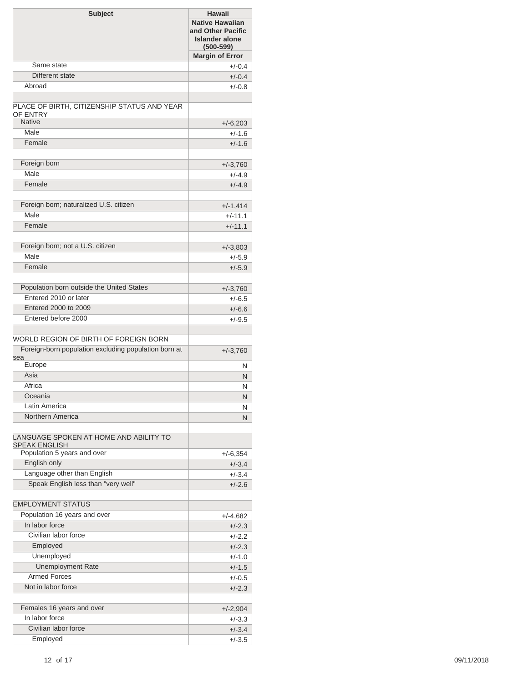| <b>Margin of Error</b><br>Same state<br>$+/-0.4$<br>Different state<br>$+/-0.4$<br>Abroad<br>$+/-0.8$<br>PLACE OF BIRTH, CITIZENSHIP STATUS AND YEAR<br>OF ENTRY<br><b>Native</b><br>$+/-6,203$<br>Male<br>$+/-1.6$<br>Female<br>$+/-1.6$<br>Foreign born<br>$+/-3,760$<br>Male<br>$+/-4.9$<br>Female<br>$+/-4.9$<br>Foreign born; naturalized U.S. citizen<br>$+/-1,414$<br>Male<br>$+/-11.1$<br>Female<br>$+/-11.1$<br>Foreign born; not a U.S. citizen<br>$+/-3,803$<br>Male<br>$+/-5.9$<br>Female<br>$+/-5.9$<br>Population born outside the United States<br>$+/-3,760$<br>Entered 2010 or later<br>$+/-6.5$<br>Entered 2000 to 2009<br>$+/-6.6$<br>Entered before 2000<br>$+/-9.5$<br>WORLD REGION OF BIRTH OF FOREIGN BORN<br>Foreign-born population excluding population born at<br>$+/-3,760$<br>sea<br>Europe<br>N<br>Asia<br>N<br>Africa<br>N<br>Oceania<br>Ν<br>Latin America<br>N<br>Northern America<br>N<br>LANGUAGE SPOKEN AT HOME AND ABILITY TO<br><b>SPEAK ENGLISH</b><br>Population 5 years and over<br>$+/-6,354$<br>English only<br>$+/-3.4$<br>Language other than English<br>$+/-3.4$<br>Speak English less than "very well"<br>$+/-2.6$<br><b>EMPLOYMENT STATUS</b><br>Population 16 years and over<br>$+/-4,682$<br>In labor force<br>$+/-2.3$<br>Civilian labor force<br>$+/-2.2$<br>Employed<br>$+/-2.3$<br>Unemployed<br>$+/-1.0$<br><b>Unemployment Rate</b><br>$+/-1.5$<br><b>Armed Forces</b><br>$+/-0.5$<br>Not in labor force<br>$+/-2.3$<br>Females 16 years and over<br>$+/-2,904$<br>In labor force<br>$+/-3.3$<br>Civilian labor force<br>$+/-3.4$<br>Employed<br>$+/-3.5$ | <b>Subject</b> | <b>Hawaii</b><br><b>Native Hawaiian</b><br>and Other Pacific<br><b>Islander alone</b><br>$(500 - 599)$ |
|-------------------------------------------------------------------------------------------------------------------------------------------------------------------------------------------------------------------------------------------------------------------------------------------------------------------------------------------------------------------------------------------------------------------------------------------------------------------------------------------------------------------------------------------------------------------------------------------------------------------------------------------------------------------------------------------------------------------------------------------------------------------------------------------------------------------------------------------------------------------------------------------------------------------------------------------------------------------------------------------------------------------------------------------------------------------------------------------------------------------------------------------------------------------------------------------------------------------------------------------------------------------------------------------------------------------------------------------------------------------------------------------------------------------------------------------------------------------------------------------------------------------------------------------------------------------------------------------------------------------|----------------|--------------------------------------------------------------------------------------------------------|
|                                                                                                                                                                                                                                                                                                                                                                                                                                                                                                                                                                                                                                                                                                                                                                                                                                                                                                                                                                                                                                                                                                                                                                                                                                                                                                                                                                                                                                                                                                                                                                                                                   |                |                                                                                                        |
|                                                                                                                                                                                                                                                                                                                                                                                                                                                                                                                                                                                                                                                                                                                                                                                                                                                                                                                                                                                                                                                                                                                                                                                                                                                                                                                                                                                                                                                                                                                                                                                                                   |                |                                                                                                        |
|                                                                                                                                                                                                                                                                                                                                                                                                                                                                                                                                                                                                                                                                                                                                                                                                                                                                                                                                                                                                                                                                                                                                                                                                                                                                                                                                                                                                                                                                                                                                                                                                                   |                |                                                                                                        |
|                                                                                                                                                                                                                                                                                                                                                                                                                                                                                                                                                                                                                                                                                                                                                                                                                                                                                                                                                                                                                                                                                                                                                                                                                                                                                                                                                                                                                                                                                                                                                                                                                   |                |                                                                                                        |
|                                                                                                                                                                                                                                                                                                                                                                                                                                                                                                                                                                                                                                                                                                                                                                                                                                                                                                                                                                                                                                                                                                                                                                                                                                                                                                                                                                                                                                                                                                                                                                                                                   |                |                                                                                                        |
|                                                                                                                                                                                                                                                                                                                                                                                                                                                                                                                                                                                                                                                                                                                                                                                                                                                                                                                                                                                                                                                                                                                                                                                                                                                                                                                                                                                                                                                                                                                                                                                                                   |                |                                                                                                        |
|                                                                                                                                                                                                                                                                                                                                                                                                                                                                                                                                                                                                                                                                                                                                                                                                                                                                                                                                                                                                                                                                                                                                                                                                                                                                                                                                                                                                                                                                                                                                                                                                                   |                |                                                                                                        |
|                                                                                                                                                                                                                                                                                                                                                                                                                                                                                                                                                                                                                                                                                                                                                                                                                                                                                                                                                                                                                                                                                                                                                                                                                                                                                                                                                                                                                                                                                                                                                                                                                   |                |                                                                                                        |
|                                                                                                                                                                                                                                                                                                                                                                                                                                                                                                                                                                                                                                                                                                                                                                                                                                                                                                                                                                                                                                                                                                                                                                                                                                                                                                                                                                                                                                                                                                                                                                                                                   |                |                                                                                                        |
|                                                                                                                                                                                                                                                                                                                                                                                                                                                                                                                                                                                                                                                                                                                                                                                                                                                                                                                                                                                                                                                                                                                                                                                                                                                                                                                                                                                                                                                                                                                                                                                                                   |                |                                                                                                        |
|                                                                                                                                                                                                                                                                                                                                                                                                                                                                                                                                                                                                                                                                                                                                                                                                                                                                                                                                                                                                                                                                                                                                                                                                                                                                                                                                                                                                                                                                                                                                                                                                                   |                |                                                                                                        |
|                                                                                                                                                                                                                                                                                                                                                                                                                                                                                                                                                                                                                                                                                                                                                                                                                                                                                                                                                                                                                                                                                                                                                                                                                                                                                                                                                                                                                                                                                                                                                                                                                   |                |                                                                                                        |
|                                                                                                                                                                                                                                                                                                                                                                                                                                                                                                                                                                                                                                                                                                                                                                                                                                                                                                                                                                                                                                                                                                                                                                                                                                                                                                                                                                                                                                                                                                                                                                                                                   |                |                                                                                                        |
|                                                                                                                                                                                                                                                                                                                                                                                                                                                                                                                                                                                                                                                                                                                                                                                                                                                                                                                                                                                                                                                                                                                                                                                                                                                                                                                                                                                                                                                                                                                                                                                                                   |                |                                                                                                        |
|                                                                                                                                                                                                                                                                                                                                                                                                                                                                                                                                                                                                                                                                                                                                                                                                                                                                                                                                                                                                                                                                                                                                                                                                                                                                                                                                                                                                                                                                                                                                                                                                                   |                |                                                                                                        |
|                                                                                                                                                                                                                                                                                                                                                                                                                                                                                                                                                                                                                                                                                                                                                                                                                                                                                                                                                                                                                                                                                                                                                                                                                                                                                                                                                                                                                                                                                                                                                                                                                   |                |                                                                                                        |
|                                                                                                                                                                                                                                                                                                                                                                                                                                                                                                                                                                                                                                                                                                                                                                                                                                                                                                                                                                                                                                                                                                                                                                                                                                                                                                                                                                                                                                                                                                                                                                                                                   |                |                                                                                                        |
|                                                                                                                                                                                                                                                                                                                                                                                                                                                                                                                                                                                                                                                                                                                                                                                                                                                                                                                                                                                                                                                                                                                                                                                                                                                                                                                                                                                                                                                                                                                                                                                                                   |                |                                                                                                        |
|                                                                                                                                                                                                                                                                                                                                                                                                                                                                                                                                                                                                                                                                                                                                                                                                                                                                                                                                                                                                                                                                                                                                                                                                                                                                                                                                                                                                                                                                                                                                                                                                                   |                |                                                                                                        |
|                                                                                                                                                                                                                                                                                                                                                                                                                                                                                                                                                                                                                                                                                                                                                                                                                                                                                                                                                                                                                                                                                                                                                                                                                                                                                                                                                                                                                                                                                                                                                                                                                   |                |                                                                                                        |
|                                                                                                                                                                                                                                                                                                                                                                                                                                                                                                                                                                                                                                                                                                                                                                                                                                                                                                                                                                                                                                                                                                                                                                                                                                                                                                                                                                                                                                                                                                                                                                                                                   |                |                                                                                                        |
|                                                                                                                                                                                                                                                                                                                                                                                                                                                                                                                                                                                                                                                                                                                                                                                                                                                                                                                                                                                                                                                                                                                                                                                                                                                                                                                                                                                                                                                                                                                                                                                                                   |                |                                                                                                        |
|                                                                                                                                                                                                                                                                                                                                                                                                                                                                                                                                                                                                                                                                                                                                                                                                                                                                                                                                                                                                                                                                                                                                                                                                                                                                                                                                                                                                                                                                                                                                                                                                                   |                |                                                                                                        |
|                                                                                                                                                                                                                                                                                                                                                                                                                                                                                                                                                                                                                                                                                                                                                                                                                                                                                                                                                                                                                                                                                                                                                                                                                                                                                                                                                                                                                                                                                                                                                                                                                   |                |                                                                                                        |
|                                                                                                                                                                                                                                                                                                                                                                                                                                                                                                                                                                                                                                                                                                                                                                                                                                                                                                                                                                                                                                                                                                                                                                                                                                                                                                                                                                                                                                                                                                                                                                                                                   |                |                                                                                                        |
|                                                                                                                                                                                                                                                                                                                                                                                                                                                                                                                                                                                                                                                                                                                                                                                                                                                                                                                                                                                                                                                                                                                                                                                                                                                                                                                                                                                                                                                                                                                                                                                                                   |                |                                                                                                        |
|                                                                                                                                                                                                                                                                                                                                                                                                                                                                                                                                                                                                                                                                                                                                                                                                                                                                                                                                                                                                                                                                                                                                                                                                                                                                                                                                                                                                                                                                                                                                                                                                                   |                |                                                                                                        |
|                                                                                                                                                                                                                                                                                                                                                                                                                                                                                                                                                                                                                                                                                                                                                                                                                                                                                                                                                                                                                                                                                                                                                                                                                                                                                                                                                                                                                                                                                                                                                                                                                   |                |                                                                                                        |
|                                                                                                                                                                                                                                                                                                                                                                                                                                                                                                                                                                                                                                                                                                                                                                                                                                                                                                                                                                                                                                                                                                                                                                                                                                                                                                                                                                                                                                                                                                                                                                                                                   |                |                                                                                                        |
|                                                                                                                                                                                                                                                                                                                                                                                                                                                                                                                                                                                                                                                                                                                                                                                                                                                                                                                                                                                                                                                                                                                                                                                                                                                                                                                                                                                                                                                                                                                                                                                                                   |                |                                                                                                        |
|                                                                                                                                                                                                                                                                                                                                                                                                                                                                                                                                                                                                                                                                                                                                                                                                                                                                                                                                                                                                                                                                                                                                                                                                                                                                                                                                                                                                                                                                                                                                                                                                                   |                |                                                                                                        |
|                                                                                                                                                                                                                                                                                                                                                                                                                                                                                                                                                                                                                                                                                                                                                                                                                                                                                                                                                                                                                                                                                                                                                                                                                                                                                                                                                                                                                                                                                                                                                                                                                   |                |                                                                                                        |
|                                                                                                                                                                                                                                                                                                                                                                                                                                                                                                                                                                                                                                                                                                                                                                                                                                                                                                                                                                                                                                                                                                                                                                                                                                                                                                                                                                                                                                                                                                                                                                                                                   |                |                                                                                                        |
|                                                                                                                                                                                                                                                                                                                                                                                                                                                                                                                                                                                                                                                                                                                                                                                                                                                                                                                                                                                                                                                                                                                                                                                                                                                                                                                                                                                                                                                                                                                                                                                                                   |                |                                                                                                        |
|                                                                                                                                                                                                                                                                                                                                                                                                                                                                                                                                                                                                                                                                                                                                                                                                                                                                                                                                                                                                                                                                                                                                                                                                                                                                                                                                                                                                                                                                                                                                                                                                                   |                |                                                                                                        |
|                                                                                                                                                                                                                                                                                                                                                                                                                                                                                                                                                                                                                                                                                                                                                                                                                                                                                                                                                                                                                                                                                                                                                                                                                                                                                                                                                                                                                                                                                                                                                                                                                   |                |                                                                                                        |
|                                                                                                                                                                                                                                                                                                                                                                                                                                                                                                                                                                                                                                                                                                                                                                                                                                                                                                                                                                                                                                                                                                                                                                                                                                                                                                                                                                                                                                                                                                                                                                                                                   |                |                                                                                                        |
|                                                                                                                                                                                                                                                                                                                                                                                                                                                                                                                                                                                                                                                                                                                                                                                                                                                                                                                                                                                                                                                                                                                                                                                                                                                                                                                                                                                                                                                                                                                                                                                                                   |                |                                                                                                        |
|                                                                                                                                                                                                                                                                                                                                                                                                                                                                                                                                                                                                                                                                                                                                                                                                                                                                                                                                                                                                                                                                                                                                                                                                                                                                                                                                                                                                                                                                                                                                                                                                                   |                |                                                                                                        |
|                                                                                                                                                                                                                                                                                                                                                                                                                                                                                                                                                                                                                                                                                                                                                                                                                                                                                                                                                                                                                                                                                                                                                                                                                                                                                                                                                                                                                                                                                                                                                                                                                   |                |                                                                                                        |
|                                                                                                                                                                                                                                                                                                                                                                                                                                                                                                                                                                                                                                                                                                                                                                                                                                                                                                                                                                                                                                                                                                                                                                                                                                                                                                                                                                                                                                                                                                                                                                                                                   |                |                                                                                                        |
|                                                                                                                                                                                                                                                                                                                                                                                                                                                                                                                                                                                                                                                                                                                                                                                                                                                                                                                                                                                                                                                                                                                                                                                                                                                                                                                                                                                                                                                                                                                                                                                                                   |                |                                                                                                        |
|                                                                                                                                                                                                                                                                                                                                                                                                                                                                                                                                                                                                                                                                                                                                                                                                                                                                                                                                                                                                                                                                                                                                                                                                                                                                                                                                                                                                                                                                                                                                                                                                                   |                |                                                                                                        |
|                                                                                                                                                                                                                                                                                                                                                                                                                                                                                                                                                                                                                                                                                                                                                                                                                                                                                                                                                                                                                                                                                                                                                                                                                                                                                                                                                                                                                                                                                                                                                                                                                   |                |                                                                                                        |
|                                                                                                                                                                                                                                                                                                                                                                                                                                                                                                                                                                                                                                                                                                                                                                                                                                                                                                                                                                                                                                                                                                                                                                                                                                                                                                                                                                                                                                                                                                                                                                                                                   |                |                                                                                                        |
|                                                                                                                                                                                                                                                                                                                                                                                                                                                                                                                                                                                                                                                                                                                                                                                                                                                                                                                                                                                                                                                                                                                                                                                                                                                                                                                                                                                                                                                                                                                                                                                                                   |                |                                                                                                        |
|                                                                                                                                                                                                                                                                                                                                                                                                                                                                                                                                                                                                                                                                                                                                                                                                                                                                                                                                                                                                                                                                                                                                                                                                                                                                                                                                                                                                                                                                                                                                                                                                                   |                |                                                                                                        |
|                                                                                                                                                                                                                                                                                                                                                                                                                                                                                                                                                                                                                                                                                                                                                                                                                                                                                                                                                                                                                                                                                                                                                                                                                                                                                                                                                                                                                                                                                                                                                                                                                   |                |                                                                                                        |
|                                                                                                                                                                                                                                                                                                                                                                                                                                                                                                                                                                                                                                                                                                                                                                                                                                                                                                                                                                                                                                                                                                                                                                                                                                                                                                                                                                                                                                                                                                                                                                                                                   |                |                                                                                                        |
|                                                                                                                                                                                                                                                                                                                                                                                                                                                                                                                                                                                                                                                                                                                                                                                                                                                                                                                                                                                                                                                                                                                                                                                                                                                                                                                                                                                                                                                                                                                                                                                                                   |                |                                                                                                        |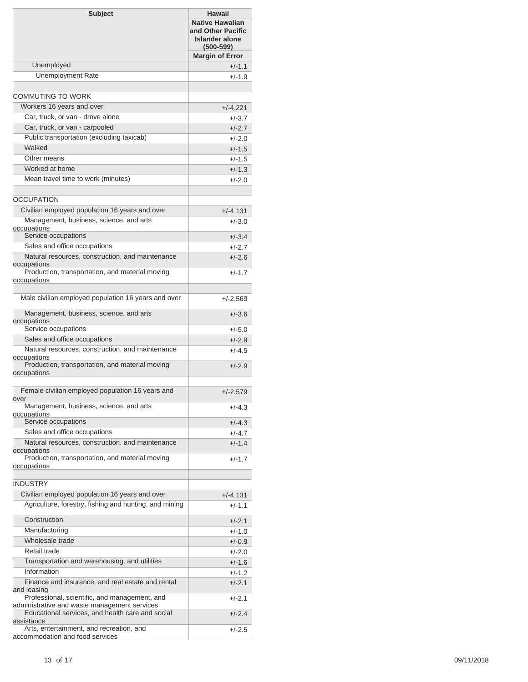| <b>Subject</b>                                                                                                     | <b>Hawaii</b><br><b>Native Hawaiian</b><br>and Other Pacific<br><b>Islander alone</b><br>$(500 - 599)$ |
|--------------------------------------------------------------------------------------------------------------------|--------------------------------------------------------------------------------------------------------|
|                                                                                                                    | <b>Margin of Error</b>                                                                                 |
| Unemployed                                                                                                         | $+/-1.1$                                                                                               |
| <b>Unemployment Rate</b>                                                                                           | $+/-1.9$                                                                                               |
| COMMUTING TO WORK                                                                                                  |                                                                                                        |
| Workers 16 years and over                                                                                          | $+/-4,221$                                                                                             |
| Car, truck, or van - drove alone                                                                                   | +/-3.7                                                                                                 |
| Car, truck, or van - carpooled                                                                                     | $+/-2.7$                                                                                               |
| Public transportation (excluding taxicab)                                                                          | $+/-2.0$                                                                                               |
| Walked                                                                                                             | $+/-1.5$                                                                                               |
| Other means                                                                                                        | $+/-1.5$                                                                                               |
| Worked at home                                                                                                     | $+/-1.3$                                                                                               |
| Mean travel time to work (minutes)                                                                                 | $+/-2.0$                                                                                               |
|                                                                                                                    |                                                                                                        |
| <b>OCCUPATION</b>                                                                                                  |                                                                                                        |
| Civilian employed population 16 years and over                                                                     | $+/-4,131$                                                                                             |
| Management, business, science, and arts                                                                            | $+/-3.0$                                                                                               |
| occupations<br>Service occupations                                                                                 | $+/-3.4$                                                                                               |
| Sales and office occupations                                                                                       | +/-2.7                                                                                                 |
| Natural resources, construction, and maintenance                                                                   | $+/-2.6$                                                                                               |
| occupations                                                                                                        |                                                                                                        |
| Production, transportation, and material moving<br>occupations                                                     | $+/-1.7$                                                                                               |
| Male civilian employed population 16 years and over                                                                | $+/-2,569$                                                                                             |
| Management, business, science, and arts<br>occupations                                                             | $+/-3.6$                                                                                               |
| Service occupations                                                                                                | $+/-5.0$                                                                                               |
| Sales and office occupations                                                                                       | $+/-2.9$                                                                                               |
| Natural resources, construction, and maintenance<br>occupations                                                    | $+/-4.5$                                                                                               |
| Production, transportation, and material moving<br>occupations                                                     | $+/-2.9$                                                                                               |
| Female civilian employed population 16 years and<br>over                                                           | $+/-2,579$                                                                                             |
| Management, business, science, and arts<br>occupations                                                             | $+/-4.3$                                                                                               |
| Service occupations                                                                                                | $+/-4.3$                                                                                               |
| Sales and office occupations                                                                                       | +/-4.7                                                                                                 |
| Natural resources, construction, and maintenance<br>occupations<br>Production, transportation, and material moving | $+/-1.4$                                                                                               |
| occupations                                                                                                        | +/-1.7                                                                                                 |
| <b>INDUSTRY</b>                                                                                                    |                                                                                                        |
| Civilian employed population 16 years and over                                                                     | $+/-4,131$                                                                                             |
| Agriculture, forestry, fishing and hunting, and mining                                                             | +/-1.1                                                                                                 |
| Construction                                                                                                       | $+/-2.1$                                                                                               |
| Manufacturing                                                                                                      | $+/-1.0$                                                                                               |
| Wholesale trade                                                                                                    | $+/-0.9$                                                                                               |
| Retail trade                                                                                                       | +/-2.0                                                                                                 |
| Transportation and warehousing, and utilities                                                                      | $+/-1.6$                                                                                               |
| Information                                                                                                        | +/-1.2                                                                                                 |
| Finance and insurance, and real estate and rental<br>and leasing<br>Professional, scientific, and management, and  | $+/-2.1$                                                                                               |
| administrative and waste management services<br>Educational services, and health care and social                   | +/-2.1<br>$+/-2.4$                                                                                     |
| assistance<br>Arts, entertainment, and recreation, and                                                             | +/-2.5                                                                                                 |
| accommodation and food services                                                                                    |                                                                                                        |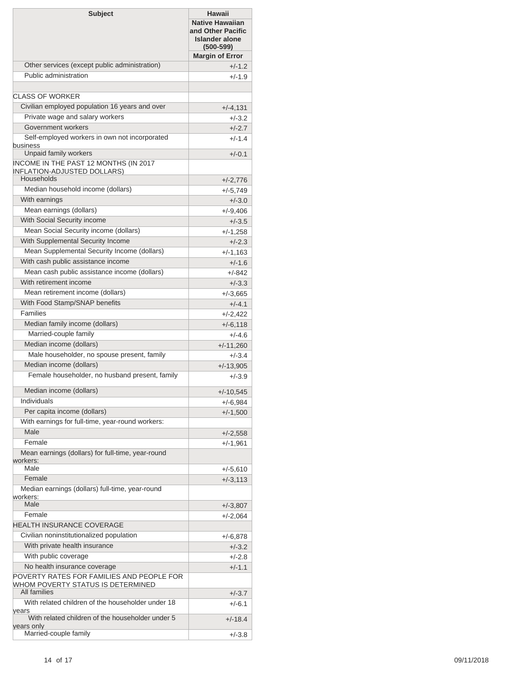| <b>Subject</b>                                                                            | <b>Hawaii</b><br><b>Native Hawaiian</b><br>and Other Pacific<br><b>Islander alone</b><br>$(500-599)$ |
|-------------------------------------------------------------------------------------------|------------------------------------------------------------------------------------------------------|
|                                                                                           | <b>Margin of Error</b>                                                                               |
| Other services (except public administration)                                             | $+/-1.2$                                                                                             |
| Public administration                                                                     | $+/-1.9$                                                                                             |
| CLASS OF WORKER                                                                           |                                                                                                      |
| Civilian employed population 16 years and over                                            | $+/-4,131$                                                                                           |
| Private wage and salary workers                                                           | $+/-3.2$                                                                                             |
| Government workers                                                                        | $+/-2.7$                                                                                             |
| Self-employed workers in own not incorporated                                             | $+/-1.4$                                                                                             |
| business<br>Unpaid family workers                                                         |                                                                                                      |
| INCOME IN THE PAST 12 MONTHS (IN 2017<br><b>INFLATION-ADJUSTED DOLLARS)</b><br>Households | $+/-0.1$<br>$+/-2,776$                                                                               |
| Median household income (dollars)                                                         | $+/-5,749$                                                                                           |
| With earnings                                                                             | $+/-3.0$                                                                                             |
| Mean earnings (dollars)                                                                   | $+/-9,406$                                                                                           |
| With Social Security income                                                               | $+/-3.5$                                                                                             |
| Mean Social Security income (dollars)                                                     | $+/-1,258$                                                                                           |
| With Supplemental Security Income                                                         | $+/-2.3$                                                                                             |
| Mean Supplemental Security Income (dollars)                                               | $+/-1,163$                                                                                           |
| With cash public assistance income                                                        | $+/-1.6$                                                                                             |
| Mean cash public assistance income (dollars)                                              | +/-842                                                                                               |
| With retirement income                                                                    | $+/-3.3$                                                                                             |
| Mean retirement income (dollars)                                                          | $+/-3,665$                                                                                           |
| With Food Stamp/SNAP benefits                                                             | $+/-4.1$                                                                                             |
| <b>Families</b>                                                                           | $+/-2,422$                                                                                           |
| Median family income (dollars)                                                            | $+/-6,118$                                                                                           |
| Married-couple family                                                                     | $+/-4.6$                                                                                             |
| Median income (dollars)                                                                   | $+/-11,260$                                                                                          |
| Male householder, no spouse present, family                                               | $+/-3.4$                                                                                             |
| Median income (dollars)                                                                   | $+/-13,905$                                                                                          |
| Female householder, no husband present, family                                            | $+/-3.9$                                                                                             |
| Median income (dollars)                                                                   | $+/-10,545$                                                                                          |
| Individuals                                                                               | $+/-6.984$                                                                                           |
| Per capita income (dollars)                                                               | $+/-1,500$                                                                                           |
| With earnings for full-time, year-round workers:                                          |                                                                                                      |
| Male                                                                                      | $+/-2,558$                                                                                           |
| Female                                                                                    | $+/-1,961$                                                                                           |
| Mean earnings (dollars) for full-time, year-round<br>workers:                             |                                                                                                      |
| Male                                                                                      | $+/-5,610$                                                                                           |
| Female                                                                                    | $+/-3,113$                                                                                           |
| Median earnings (dollars) full-time, year-round<br>workers:<br>Male                       |                                                                                                      |
| Female                                                                                    | $+/-3,807$                                                                                           |
| HEALTH INSURANCE COVERAGE                                                                 | $+/-2,064$                                                                                           |
| Civilian noninstitutionalized population                                                  |                                                                                                      |
| With private health insurance                                                             | +/-6,878<br>$+/-3.2$                                                                                 |
| With public coverage                                                                      | $+/-2.8$                                                                                             |
| No health insurance coverage                                                              | $+/-1.1$                                                                                             |
| POVERTY RATES FOR FAMILIES AND PEOPLE FOR                                                 |                                                                                                      |
| WHOM POVERTY STATUS IS DETERMINED<br>All families                                         |                                                                                                      |
| With related children of the householder under 18                                         | $+/-3.7$                                                                                             |
| years<br>With related children of the householder under 5                                 | $+/-6.1$<br>$+/-18.4$                                                                                |
| years only<br>Married-couple family                                                       | $+/-3.8$                                                                                             |
|                                                                                           |                                                                                                      |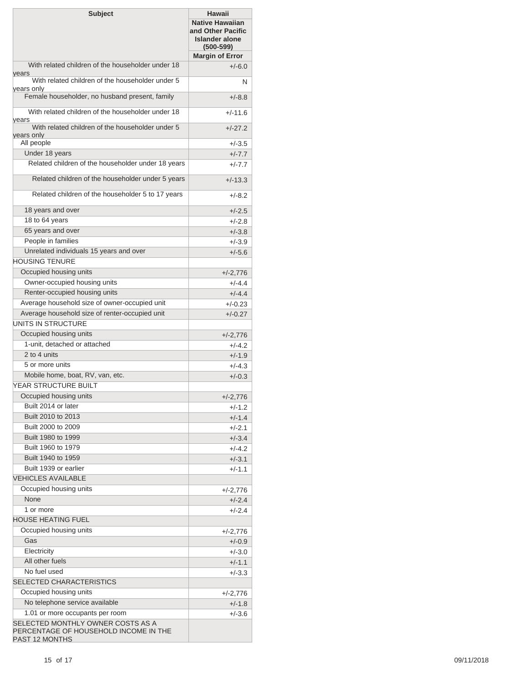| <b>Subject</b>                                                       | Hawaii<br><b>Native Hawaiian</b><br>and Other Pacific<br><b>Islander alone</b><br>$(500 - 599)$ |
|----------------------------------------------------------------------|-------------------------------------------------------------------------------------------------|
| With related children of the householder under 18                    | <b>Margin of Error</b>                                                                          |
| years                                                                | $+/-6.0$                                                                                        |
| With related children of the householder under 5<br>years only       | N                                                                                               |
| Female householder, no husband present, family                       | $+/-8.8$                                                                                        |
| With related children of the householder under 18<br>years           | $+/-11.6$                                                                                       |
| With related children of the householder under 5<br>years only       | $+/-27.2$                                                                                       |
| All people                                                           | $+/-3.5$                                                                                        |
| Under 18 years                                                       | $+/-7.7$                                                                                        |
| Related children of the householder under 18 years                   | $+/-7.7$                                                                                        |
| Related children of the householder under 5 years                    | $+/-13.3$                                                                                       |
| Related children of the householder 5 to 17 years                    | $+/-8.2$                                                                                        |
| 18 years and over                                                    | $+/-2.5$                                                                                        |
| 18 to 64 years                                                       | $+/-2.8$                                                                                        |
| 65 years and over                                                    | $+/-3.8$                                                                                        |
| People in families                                                   | $+/-3.9$                                                                                        |
| Unrelated individuals 15 years and over                              | $+/-5.6$                                                                                        |
| <b>HOUSING TENURE</b>                                                |                                                                                                 |
| Occupied housing units                                               | $+/-2,776$                                                                                      |
| Owner-occupied housing units                                         | $+/-4.4$                                                                                        |
| Renter-occupied housing units                                        | $+/-4.4$                                                                                        |
| Average household size of owner-occupied unit                        | $+/-0.23$                                                                                       |
| Average household size of renter-occupied unit                       | $+/-0.27$                                                                                       |
| UNITS IN STRUCTURE                                                   |                                                                                                 |
| Occupied housing units                                               | $+/-2,776$                                                                                      |
| 1-unit. detached or attached                                         | $+/-4.2$                                                                                        |
| 2 to 4 units                                                         | $+/-1.9$                                                                                        |
| 5 or more units                                                      | $+/-4.3$                                                                                        |
| Mobile home, boat, RV, van, etc.                                     | $+/-0.3$                                                                                        |
| YEAR STRUCTURE BUILT                                                 |                                                                                                 |
| Occupied housing units                                               | $+/-2,776$                                                                                      |
| Built 2014 or later                                                  | $+/-1.2$                                                                                        |
| Built 2010 to 2013                                                   | $+/-1.4$                                                                                        |
| Built 2000 to 2009                                                   | $+/-2.1$                                                                                        |
| Built 1980 to 1999                                                   | $+/-3.4$                                                                                        |
| Built 1960 to 1979                                                   | $+/-4.2$                                                                                        |
| Built 1940 to 1959                                                   | $+/-3.1$                                                                                        |
| Built 1939 or earlier                                                | $+/-1.1$                                                                                        |
| <b>VEHICLES AVAILABLE</b>                                            |                                                                                                 |
| Occupied housing units                                               | +/-2,776                                                                                        |
| None                                                                 | $+/-2.4$                                                                                        |
| 1 or more                                                            | $+/-2.4$                                                                                        |
| <b>HOUSE HEATING FUEL</b>                                            |                                                                                                 |
| Occupied housing units                                               | +/-2,776                                                                                        |
| Gas                                                                  | $+/-0.9$                                                                                        |
| Electricity                                                          | $+/-3.0$                                                                                        |
| All other fuels                                                      | $+/-1.1$                                                                                        |
| No fuel used                                                         | $+/-3.3$                                                                                        |
| SELECTED CHARACTERISTICS                                             |                                                                                                 |
| Occupied housing units                                               |                                                                                                 |
| No telephone service available                                       | +/-2,776                                                                                        |
|                                                                      | $+/-1.8$                                                                                        |
| 1.01 or more occupants per room<br>SELECTED MONTHLY OWNER COSTS AS A | $+/-3.6$                                                                                        |
| PERCENTAGE OF HOUSEHOLD INCOME IN THE<br>PAST 12 MONTHS              |                                                                                                 |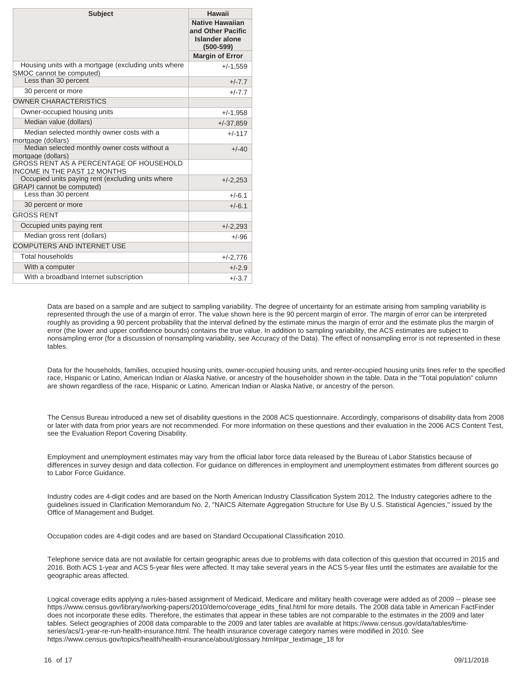| <b>Subject</b>                                                                        | Hawaii                                                                         |
|---------------------------------------------------------------------------------------|--------------------------------------------------------------------------------|
|                                                                                       | <b>Native Hawaiian</b><br>and Other Pacific<br>Islander alone<br>$(500 - 599)$ |
|                                                                                       | <b>Margin of Error</b>                                                         |
| Housing units with a mortgage (excluding units where<br>SMOC cannot be computed)      | $+/-1,559$                                                                     |
| Less than 30 percent                                                                  | $+/-7.7$                                                                       |
| 30 percent or more                                                                    | $+/-7.7$                                                                       |
| <b>OWNER CHARACTERISTICS</b>                                                          |                                                                                |
| Owner-occupied housing units                                                          | $+/-1,958$                                                                     |
| Median value (dollars)                                                                | $+/-37,859$                                                                    |
| Median selected monthly owner costs with a<br>mortgage (dollars)                      | $+/-117$                                                                       |
| Median selected monthly owner costs without a<br>mortgage (dollars)                   | $+/-40$                                                                        |
| <b>GROSS RENT AS A PERCENTAGE OF HOUSEHOLD</b><br><b>INCOME IN THE PAST 12 MONTHS</b> |                                                                                |
| Occupied units paying rent (excluding units where<br><b>GRAPI</b> cannot be computed) | $+/-2,253$                                                                     |
| Less than 30 percent                                                                  | $+/-6.1$                                                                       |
| 30 percent or more                                                                    | $+/-6.1$                                                                       |
| <b>GROSS RENT</b>                                                                     |                                                                                |
| Occupied units paying rent                                                            | $+/-2,293$                                                                     |
| Median gross rent (dollars)                                                           | $+/-96$                                                                        |
| <b>COMPUTERS AND INTERNET USE</b>                                                     |                                                                                |
| <b>Total households</b>                                                               | $+/-2,776$                                                                     |
| With a computer                                                                       | $+/-2.9$                                                                       |
| With a broadband Internet subscription                                                | $+/-3.7$                                                                       |

Data are based on a sample and are subject to sampling variability. The degree of uncertainty for an estimate arising from sampling variability is represented through the use of a margin of error. The value shown here is the 90 percent margin of error. The margin of error can be interpreted roughly as providing a 90 percent probability that the interval defined by the estimate minus the margin of error and the estimate plus the margin of error (the lower and upper confidence bounds) contains the true value. In addition to sampling variability, the ACS estimates are subject to nonsampling error (for a discussion of nonsampling variability, see [Accuracy of the Data\)](https://www.census.gov/programs-surveys/acs/technical-documentation.html/). The effect of nonsampling error is not represented in these tables.

Data for the households, families, occupied housing units, owner-occupied housing units, and renter-occupied housing units lines refer to the specified race, Hispanic or Latino, American Indian or Alaska Native, or ancestry of the householder shown in the table. Data in the "Total population" column are shown regardless of the race, Hispanic or Latino, American Indian or Alaska Native, or ancestry of the person.

The Census Bureau introduced a new set of disability questions in the 2008 ACS questionnaire. Accordingly, comparisons of disability data from 2008 or later with data from prior years are not recommended. For more information on these questions and their evaluation in the 2006 ACS Content Test, see the [Evaluation Report Covering Disability.](https://www.census.gov/content/dam/Census/library/working-papers/2007/acs/2007_Brault_01.pdf)

Employment and unemployment estimates may vary from the official labor force data released by the Bureau of Labor Statistics because of differences in survey design and data collection. For guidance on differences in employment and unemployment estimates from different sources go to [Labor Force Guidance](https://www.census.gov/hhes/www/laborfor/laborguidance092209.html).

Industry codes are 4-digit codes and are based on the North American Industry Classification System 2012. The Industry categories adhere to the guidelines issued in Clarification Memorandum No. 2, "NAICS Alternate Aggregation Structure for Use By U.S. Statistical Agencies," issued by the Office of Management and Budget.

Occupation codes are 4-digit codes and are based on Standard Occupational Classification 2010.

Telephone service data are not available for certain geographic areas due to problems with data collection of this question that occurred in 2015 and 2016. Both ACS 1-year and ACS 5-year files were affected. It may take several years in the ACS 5-year files until the estimates are available for the geographic areas affected.

Logical coverage edits applying a rules-based assignment of Medicaid, Medicare and military health coverage were added as of 2009 -- please see [https://www.census.gov/library/working-papers/2010/demo/coverage\\_edits\\_final.html](https://www.census.gov/library/working-papers/2010/demo/coverage_edits_final.html) for more details. The 2008 data table in American FactFinder does not incorporate these edits. Therefore, the estimates that appear in these tables are not comparable to the estimates in the 2009 and later tables. Select geographies of 2008 data comparable to the 2009 and later tables are available at [https://www.census.gov/data/tables/time](https://www.census.gov/data/tables/time-series/acs/1-year-re-run-health-insurance.html)[series/acs/1-year-re-run-health-insurance.html](https://www.census.gov/data/tables/time-series/acs/1-year-re-run-health-insurance.html). The health insurance coverage category names were modified in 2010. See [https://www.census.gov/topics/health/health-insurance/about/glossary.html#par\\_textimage\\_18](https://www.census.gov/topics/health/health-insurance/about/glossary.html#par_textimage_18) for